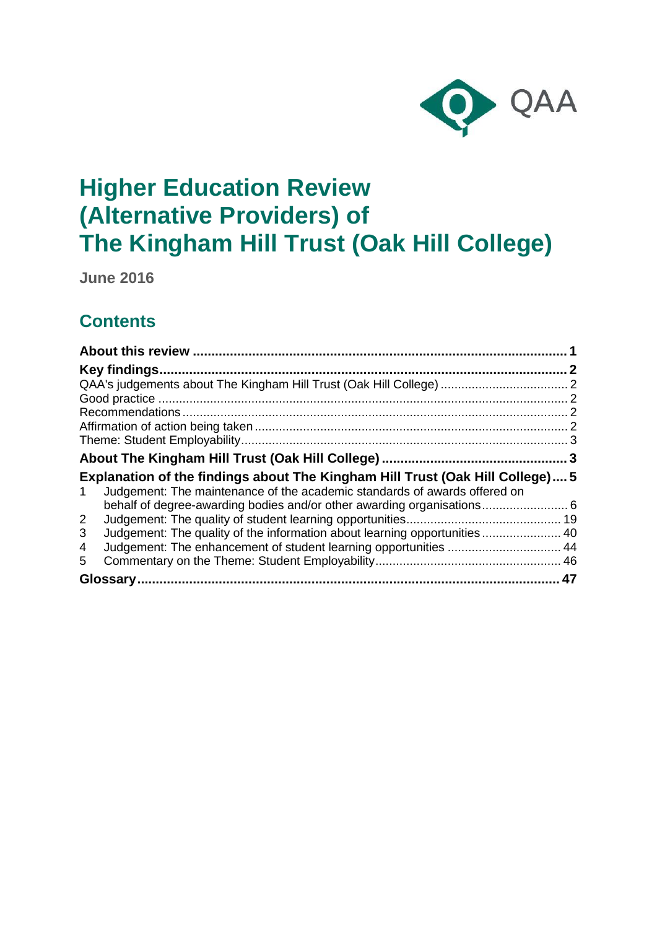

**June 2016**

## **Contents**

| Explanation of the findings about The Kingham Hill Trust (Oak Hill College) 5<br>Judgement: The maintenance of the academic standards of awards offered on<br>1 |  |
|-----------------------------------------------------------------------------------------------------------------------------------------------------------------|--|
|                                                                                                                                                                 |  |
| $\overline{2}$                                                                                                                                                  |  |
| Judgement: The quality of the information about learning opportunities 40<br>3                                                                                  |  |
| 4                                                                                                                                                               |  |
| 5.                                                                                                                                                              |  |
|                                                                                                                                                                 |  |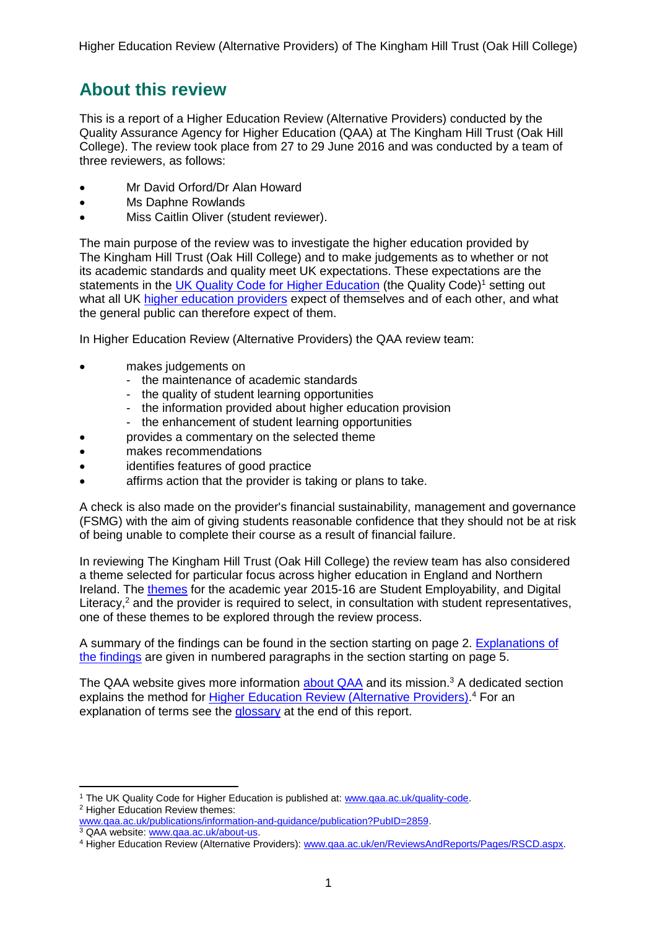## <span id="page-1-0"></span>**About this review**

This is a report of a Higher Education Review (Alternative Providers) conducted by the Quality Assurance Agency for Higher Education (QAA) at The Kingham Hill Trust (Oak Hill College). The review took place from 27 to 29 June 2016 and was conducted by a team of three reviewers, as follows:

- Mr David Orford/Dr Alan Howard
- Ms Daphne Rowlands
- Miss Caitlin Oliver (student reviewer).

The main purpose of the review was to investigate the higher education provided by The Kingham Hill Trust (Oak Hill College) and to make judgements as to whether or not its academic standards and quality meet UK expectations. These expectations are the statements in the UK Quality Code for Higher [Education](http://www.qaa.ac.uk/assuring-standards-and-quality/the-quality-code) (the Quality Code)<sup>1</sup> setting out what all UK higher [education](http://www.qaa.ac.uk/about-us/glossary?Category=H#92) providers expect of themselves and of each other, and what the general public can therefore expect of them.

In Higher Education Review (Alternative Providers) the QAA review team:

- makes judgements on
	- the maintenance of academic standards
	- the quality of student learning opportunities
	- the information provided about higher education provision
	- the enhancement of student learning opportunities
- provides a commentary on the selected theme
- makes recommendations
- identifies features of good practice
- affirms action that the provider is taking or plans to take.

A check is also made on the provider's financial sustainability, management and governance (FSMG) with the aim of giving students reasonable confidence that they should not be at risk of being unable to complete their course as a result of financial failure.

In reviewing The Kingham Hill Trust (Oak Hill College) the review team has also considered a theme selected for particular focus across higher education in England and Northern Ireland. The [themes](http://www.qaa.ac.uk/publications/information-and-guidance/publication?PubID=106) for the academic year 2015-16 are Student Employability, and Digital Literacy, $<sup>2</sup>$  and the provider is required to select, in consultation with student representatives,</sup> one of these themes to be explored through the review process.

A summary of the findings can be found in the section starting on page 2. [Explanations](#page-5-0) of the [findings](#page-5-0) are given in numbered paragraphs in the section starting on page 5.

The QAA website gives more information [about](http://www.qaa.ac.uk/aboutus/pages/default.aspx) QAA and its mission.<sup>3</sup> A dedicated section explains the method for [Higher Education Review \(Alternative Providers\).](http://www.qaa.ac.uk/en/ReviewsAndReports/Pages/RSCD.aspx)<sup>4</sup> For an explanation of terms see the [glossary](#page-46-1) at the end of this report.

<sup>1</sup> <sup>1</sup> The UK Quality Code for Higher Education is published at: [www.qaa.ac.uk/quality-code.](http://www.qaa.ac.uk/quality-code) <sup>2</sup> Higher Education Review themes:

[www.qaa.ac.uk/publications/information-and-guidance/publication?PubID=2859.](http://www.qaa.ac.uk/publications/information-and-guidance/publication?PubID=2859)

<sup>3</sup> QAA website: [www.qaa.ac.uk/about-us.](http://www.qaa.ac.uk/about-us)

<sup>4</sup> Higher Education Review (Alternative Providers): [www.qaa.ac.uk/en/ReviewsAndReports/Pages/RSCD.aspx.](http://www.qaa.ac.uk/en/ReviewsAndReports/Pages/RSCD.aspx)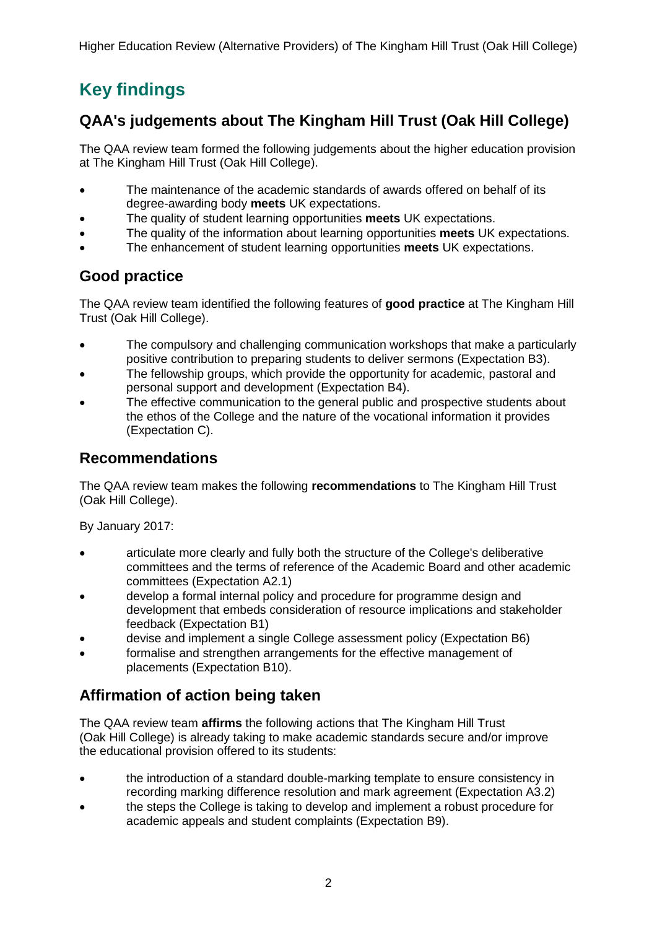## <span id="page-2-0"></span>**Key findings**

## <span id="page-2-1"></span>**QAA's judgements about The Kingham Hill Trust (Oak Hill College)**

The QAA review team formed the following judgements about the higher education provision at The Kingham Hill Trust (Oak Hill College).

- The maintenance of the academic standards of awards offered on behalf of its degree-awarding body **meets** UK expectations.
- The quality of student learning opportunities **meets** UK expectations.
- The quality of the information about learning opportunities **meets** UK expectations.
- The enhancement of student learning opportunities **meets** UK expectations.

## <span id="page-2-2"></span>**Good practice**

The QAA review team identified the following features of **good practice** at The Kingham Hill Trust (Oak Hill College).

- The compulsory and challenging communication workshops that make a particularly positive contribution to preparing students to deliver sermons (Expectation B3).
- The fellowship groups, which provide the opportunity for academic, pastoral and personal support and development (Expectation B4).
- The effective communication to the general public and prospective students about the ethos of the College and the nature of the vocational information it provides (Expectation C).

## <span id="page-2-3"></span>**Recommendations**

The QAA review team makes the following **recommendations** to The Kingham Hill Trust (Oak Hill College).

By January 2017:

- articulate more clearly and fully both the structure of the College's deliberative committees and the terms of reference of the Academic Board and other academic committees (Expectation A2.1)
- develop a formal internal policy and procedure for programme design and development that embeds consideration of resource implications and stakeholder feedback (Expectation B1)
- devise and implement a single College assessment policy (Expectation B6)
- formalise and strengthen arrangements for the effective management of placements (Expectation B10).

## <span id="page-2-4"></span>**Affirmation of action being taken**

The QAA review team **affirms** the following actions that The Kingham Hill Trust (Oak Hill College) is already taking to make academic standards secure and/or improve the educational provision offered to its students:

- the introduction of a standard double-marking template to ensure consistency in recording marking difference resolution and mark agreement (Expectation A3.2)
- the steps the College is taking to develop and implement a robust procedure for academic appeals and student complaints (Expectation B9).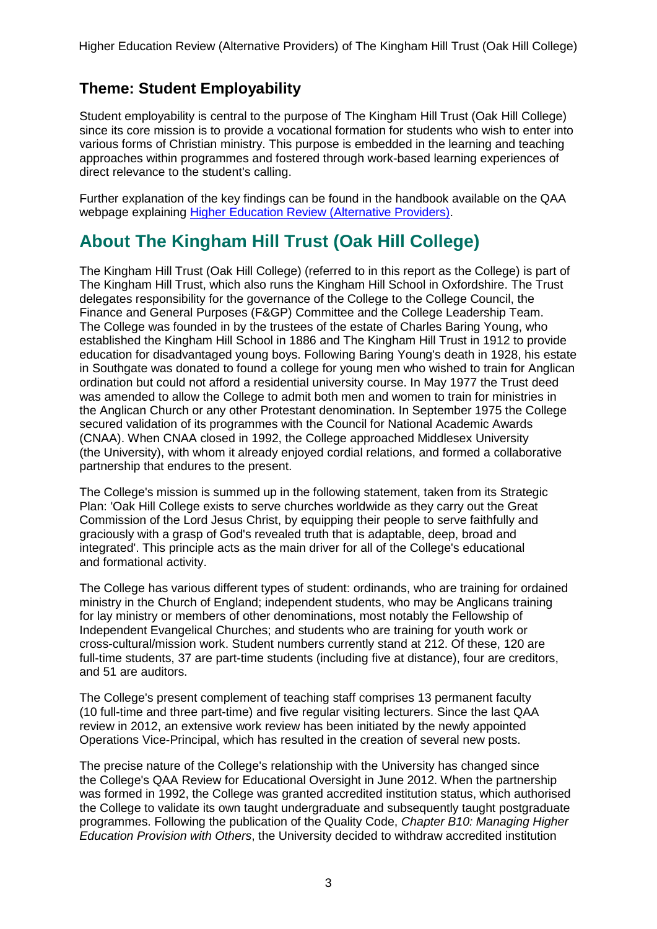## <span id="page-3-0"></span>**Theme: Student Employability**

Student employability is central to the purpose of The Kingham Hill Trust (Oak Hill College) since its core mission is to provide a vocational formation for students who wish to enter into various forms of Christian ministry. This purpose is embedded in the learning and teaching approaches within programmes and fostered through work-based learning experiences of direct relevance to the student's calling.

Further explanation of the key findings can be found in the handbook available on the QAA webpage explaining Higher Education Review [\(Alternative](http://www.qaa.ac.uk/en/ReviewsAndReports/Pages/Educational-Oversight-.aspx) Providers).

## <span id="page-3-1"></span>**About The Kingham Hill Trust (Oak Hill College)**

The Kingham Hill Trust (Oak Hill College) (referred to in this report as the College) is part of The Kingham Hill Trust, which also runs the Kingham Hill School in Oxfordshire. The Trust delegates responsibility for the governance of the College to the College Council, the Finance and General Purposes (F&GP) Committee and the College Leadership Team. The College was founded in by the trustees of the estate of Charles Baring Young, who established the Kingham Hill School in 1886 and The Kingham Hill Trust in 1912 to provide education for disadvantaged young boys. Following Baring Young's death in 1928, his estate in Southgate was donated to found a college for young men who wished to train for Anglican ordination but could not afford a residential university course. In May 1977 the Trust deed was amended to allow the College to admit both men and women to train for ministries in the Anglican Church or any other Protestant denomination. In September 1975 the College secured validation of its programmes with the Council for National Academic Awards (CNAA). When CNAA closed in 1992, the College approached Middlesex University (the University), with whom it already enjoyed cordial relations, and formed a collaborative partnership that endures to the present.

The College's mission is summed up in the following statement, taken from its Strategic Plan: 'Oak Hill College exists to serve churches worldwide as they carry out the Great Commission of the Lord Jesus Christ, by equipping their people to serve faithfully and graciously with a grasp of God's revealed truth that is adaptable, deep, broad and integrated'. This principle acts as the main driver for all of the College's educational and formational activity.

The College has various different types of student: ordinands, who are training for ordained ministry in the Church of England; independent students, who may be Anglicans training for lay ministry or members of other denominations, most notably the Fellowship of Independent Evangelical Churches; and students who are training for youth work or cross-cultural/mission work. Student numbers currently stand at 212. Of these, 120 are full-time students, 37 are part-time students (including five at distance), four are creditors, and 51 are auditors.

The College's present complement of teaching staff comprises 13 permanent faculty (10 full-time and three part-time) and five regular visiting lecturers. Since the last QAA review in 2012, an extensive work review has been initiated by the newly appointed Operations Vice-Principal, which has resulted in the creation of several new posts.

The precise nature of the College's relationship with the University has changed since the College's QAA Review for Educational Oversight in June 2012. When the partnership was formed in 1992, the College was granted accredited institution status, which authorised the College to validate its own taught undergraduate and subsequently taught postgraduate programmes. Following the publication of the Quality Code, *Chapter B10: Managing Higher Education Provision with Others*, the University decided to withdraw accredited institution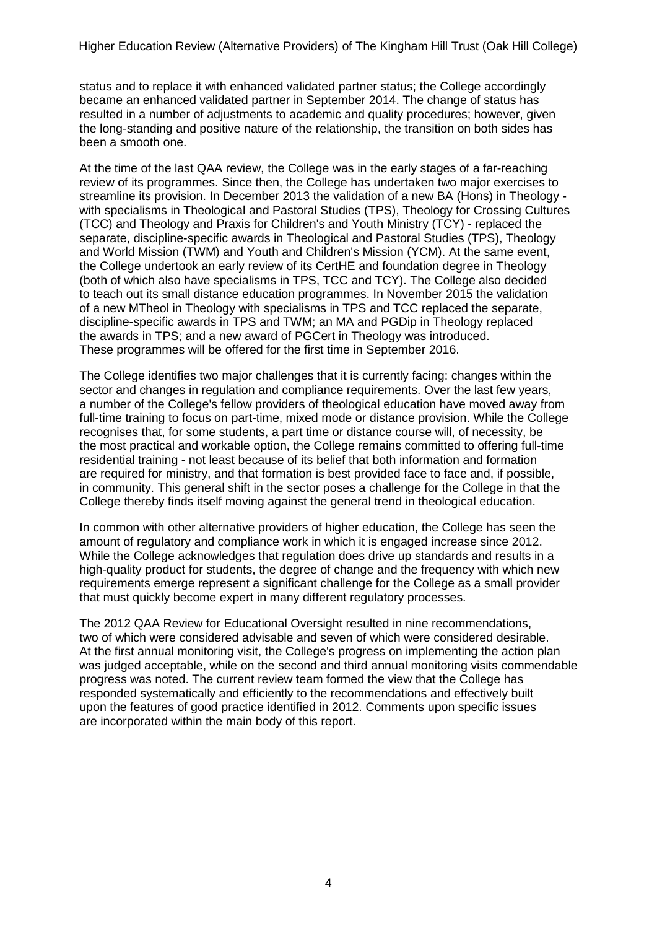status and to replace it with enhanced validated partner status; the College accordingly became an enhanced validated partner in September 2014. The change of status has resulted in a number of adjustments to academic and quality procedures; however, given the long-standing and positive nature of the relationship, the transition on both sides has been a smooth one.

At the time of the last QAA review, the College was in the early stages of a far-reaching review of its programmes. Since then, the College has undertaken two major exercises to streamline its provision. In December 2013 the validation of a new BA (Hons) in Theology with specialisms in Theological and Pastoral Studies (TPS), Theology for Crossing Cultures (TCC) and Theology and Praxis for Children's and Youth Ministry (TCY) - replaced the separate, discipline-specific awards in Theological and Pastoral Studies (TPS), Theology and World Mission (TWM) and Youth and Children's Mission (YCM). At the same event, the College undertook an early review of its CertHE and foundation degree in Theology (both of which also have specialisms in TPS, TCC and TCY). The College also decided to teach out its small distance education programmes. In November 2015 the validation of a new MTheol in Theology with specialisms in TPS and TCC replaced the separate, discipline-specific awards in TPS and TWM; an MA and PGDip in Theology replaced the awards in TPS; and a new award of PGCert in Theology was introduced. These programmes will be offered for the first time in September 2016.

The College identifies two major challenges that it is currently facing: changes within the sector and changes in regulation and compliance requirements. Over the last few years, a number of the College's fellow providers of theological education have moved away from full-time training to focus on part-time, mixed mode or distance provision. While the College recognises that, for some students, a part time or distance course will, of necessity, be the most practical and workable option, the College remains committed to offering full-time residential training - not least because of its belief that both information and formation are required for ministry, and that formation is best provided face to face and, if possible, in community. This general shift in the sector poses a challenge for the College in that the College thereby finds itself moving against the general trend in theological education.

In common with other alternative providers of higher education, the College has seen the amount of regulatory and compliance work in which it is engaged increase since 2012. While the College acknowledges that regulation does drive up standards and results in a high-quality product for students, the degree of change and the frequency with which new requirements emerge represent a significant challenge for the College as a small provider that must quickly become expert in many different regulatory processes.

The 2012 QAA Review for Educational Oversight resulted in nine recommendations, two of which were considered advisable and seven of which were considered desirable. At the first annual monitoring visit, the College's progress on implementing the action plan was judged acceptable, while on the second and third annual monitoring visits commendable progress was noted. The current review team formed the view that the College has responded systematically and efficiently to the recommendations and effectively built upon the features of good practice identified in 2012. Comments upon specific issues are incorporated within the main body of this report.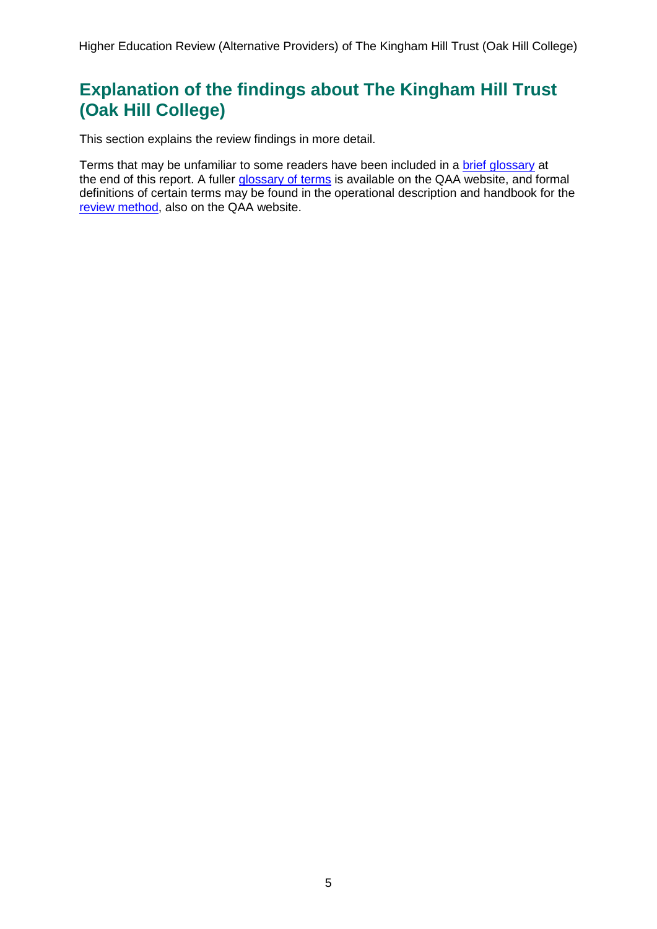## <span id="page-5-0"></span>**Explanation of the findings about The Kingham Hill Trust (Oak Hill College)**

This section explains the review findings in more detail.

Terms that may be unfamiliar to some readers have been included in a brief [glossary](#page-46-1) at the end of this report. A fuller [glossary](http://www.qaa.ac.uk/Pages/GlossaryEN.aspx) of terms is available on the QAA website, and formal definitions of certain terms may be found in the operational description and handbook for the review [method,](http://www.qaa.ac.uk/en/ReviewsAndReports/Pages/Educational-Oversight-.aspx) also on the QAA website.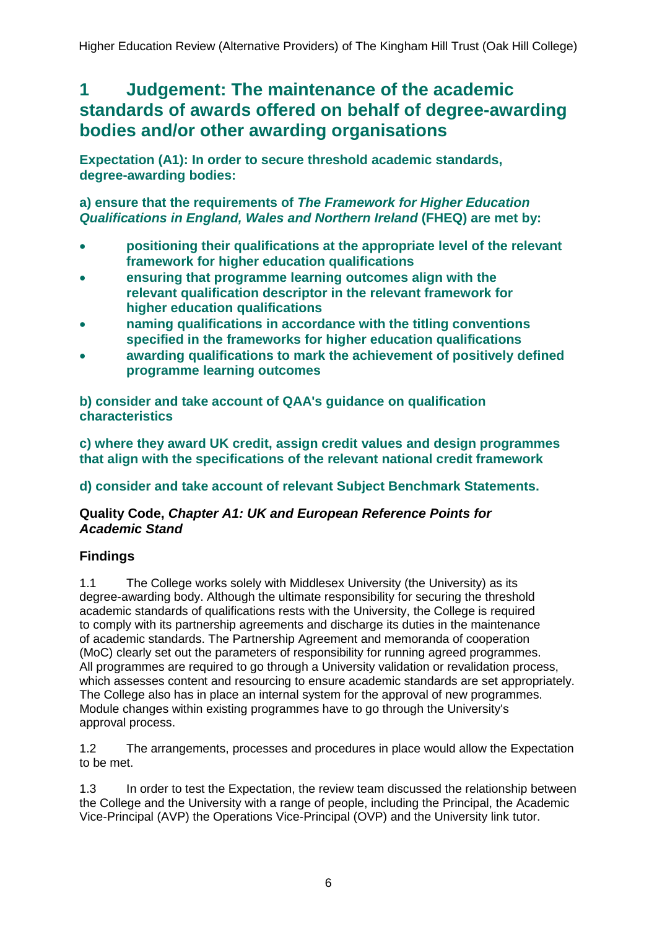## <span id="page-6-0"></span>**1 Judgement: The maintenance of the academic standards of awards offered on behalf of degree-awarding bodies and/or other awarding organisations**

**Expectation (A1): In order to secure threshold academic standards, degree-awarding bodies:**

### **a) ensure that the requirements of** *The Framework for Higher Education Qualifications in England, Wales and Northern Ireland* **(FHEQ) are met by:**

- **positioning their qualifications at the appropriate level of the relevant framework for higher education qualifications**
- **ensuring that programme learning outcomes align with the relevant qualification descriptor in the relevant framework for higher education qualifications**
- **naming qualifications in accordance with the titling conventions specified in the frameworks for higher education qualifications**
- **awarding qualifications to mark the achievement of positively defined programme learning outcomes**

**b) consider and take account of QAA's guidance on qualification characteristics**

**c) where they award UK credit, assign credit values and design programmes that align with the specifications of the relevant national credit framework**

### **d) consider and take account of relevant Subject Benchmark Statements.**

### **Quality Code,** *Chapter A1: UK and European Reference Points for Academic Stand*

### **Findings**

1.1 The College works solely with Middlesex University (the University) as its degree-awarding body. Although the ultimate responsibility for securing the threshold academic standards of qualifications rests with the University, the College is required to comply with its partnership agreements and discharge its duties in the maintenance of academic standards. The Partnership Agreement and memoranda of cooperation (MoC) clearly set out the parameters of responsibility for running agreed programmes. All programmes are required to go through a University validation or revalidation process, which assesses content and resourcing to ensure academic standards are set appropriately. The College also has in place an internal system for the approval of new programmes. Module changes within existing programmes have to go through the University's approval process.

1.2 The arrangements, processes and procedures in place would allow the Expectation to be met.

1.3 In order to test the Expectation, the review team discussed the relationship between the College and the University with a range of people, including the Principal, the Academic Vice-Principal (AVP) the Operations Vice-Principal (OVP) and the University link tutor.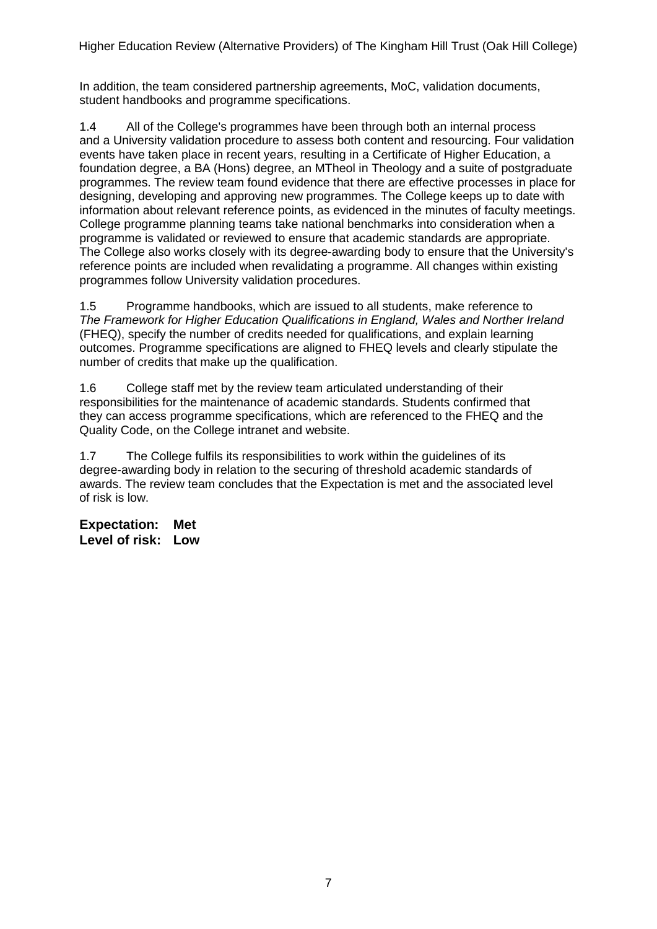In addition, the team considered partnership agreements, MoC, validation documents, student handbooks and programme specifications.

1.4 All of the College's programmes have been through both an internal process and a University validation procedure to assess both content and resourcing. Four validation events have taken place in recent years, resulting in a Certificate of Higher Education, a foundation degree, a BA (Hons) degree, an MTheol in Theology and a suite of postgraduate programmes. The review team found evidence that there are effective processes in place for designing, developing and approving new programmes. The College keeps up to date with information about relevant reference points, as evidenced in the minutes of faculty meetings. College programme planning teams take national benchmarks into consideration when a programme is validated or reviewed to ensure that academic standards are appropriate. The College also works closely with its degree-awarding body to ensure that the University's reference points are included when revalidating a programme. All changes within existing programmes follow University validation procedures.

1.5 Programme handbooks, which are issued to all students, make reference to *The Framework for Higher Education Qualifications in England, Wales and Norther Ireland* (FHEQ), specify the number of credits needed for qualifications, and explain learning outcomes. Programme specifications are aligned to FHEQ levels and clearly stipulate the number of credits that make up the qualification.

1.6 College staff met by the review team articulated understanding of their responsibilities for the maintenance of academic standards. Students confirmed that they can access programme specifications, which are referenced to the FHEQ and the Quality Code, on the College intranet and website.

1.7 The College fulfils its responsibilities to work within the guidelines of its degree-awarding body in relation to the securing of threshold academic standards of awards. The review team concludes that the Expectation is met and the associated level of risk is low.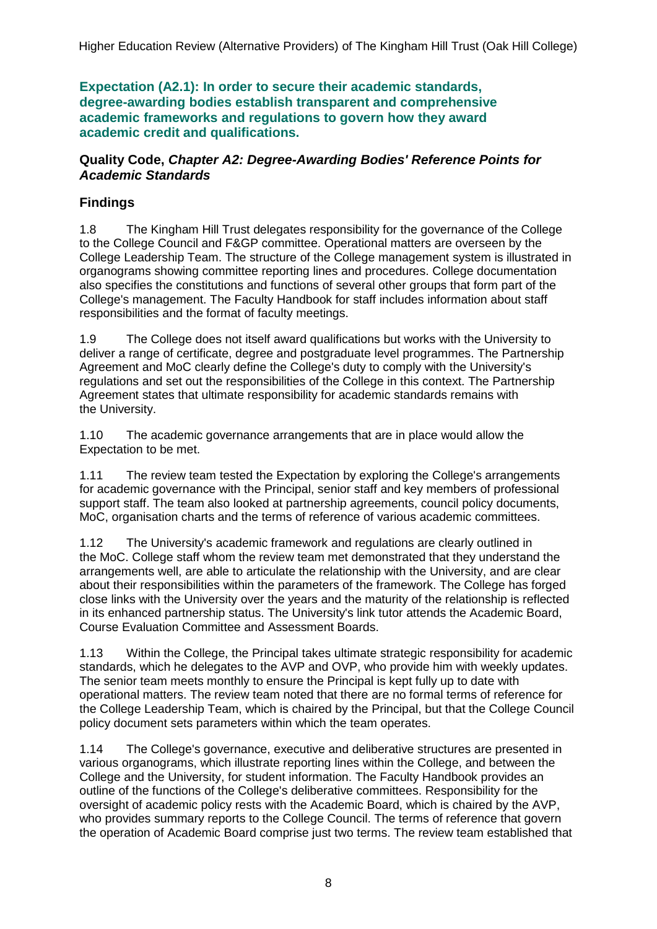**Expectation (A2.1): In order to secure their academic standards, degree-awarding bodies establish transparent and comprehensive academic frameworks and regulations to govern how they award academic credit and qualifications.**

### **Quality Code,** *Chapter A2: Degree-Awarding Bodies' Reference Points for Academic Standards*

## **Findings**

1.8 The Kingham Hill Trust delegates responsibility for the governance of the College to the College Council and F&GP committee. Operational matters are overseen by the College Leadership Team. The structure of the College management system is illustrated in organograms showing committee reporting lines and procedures. College documentation also specifies the constitutions and functions of several other groups that form part of the College's management. The Faculty Handbook for staff includes information about staff responsibilities and the format of faculty meetings.

1.9 The College does not itself award qualifications but works with the University to deliver a range of certificate, degree and postgraduate level programmes. The Partnership Agreement and MoC clearly define the College's duty to comply with the University's regulations and set out the responsibilities of the College in this context. The Partnership Agreement states that ultimate responsibility for academic standards remains with the University.

1.10 The academic governance arrangements that are in place would allow the Expectation to be met.

1.11 The review team tested the Expectation by exploring the College's arrangements for academic governance with the Principal, senior staff and key members of professional support staff. The team also looked at partnership agreements, council policy documents, MoC, organisation charts and the terms of reference of various academic committees.

1.12 The University's academic framework and regulations are clearly outlined in the MoC. College staff whom the review team met demonstrated that they understand the arrangements well, are able to articulate the relationship with the University, and are clear about their responsibilities within the parameters of the framework. The College has forged close links with the University over the years and the maturity of the relationship is reflected in its enhanced partnership status. The University's link tutor attends the Academic Board, Course Evaluation Committee and Assessment Boards.

1.13 Within the College, the Principal takes ultimate strategic responsibility for academic standards, which he delegates to the AVP and OVP, who provide him with weekly updates. The senior team meets monthly to ensure the Principal is kept fully up to date with operational matters. The review team noted that there are no formal terms of reference for the College Leadership Team, which is chaired by the Principal, but that the College Council policy document sets parameters within which the team operates.

1.14 The College's governance, executive and deliberative structures are presented in various organograms, which illustrate reporting lines within the College, and between the College and the University, for student information. The Faculty Handbook provides an outline of the functions of the College's deliberative committees. Responsibility for the oversight of academic policy rests with the Academic Board, which is chaired by the AVP, who provides summary reports to the College Council. The terms of reference that govern the operation of Academic Board comprise just two terms. The review team established that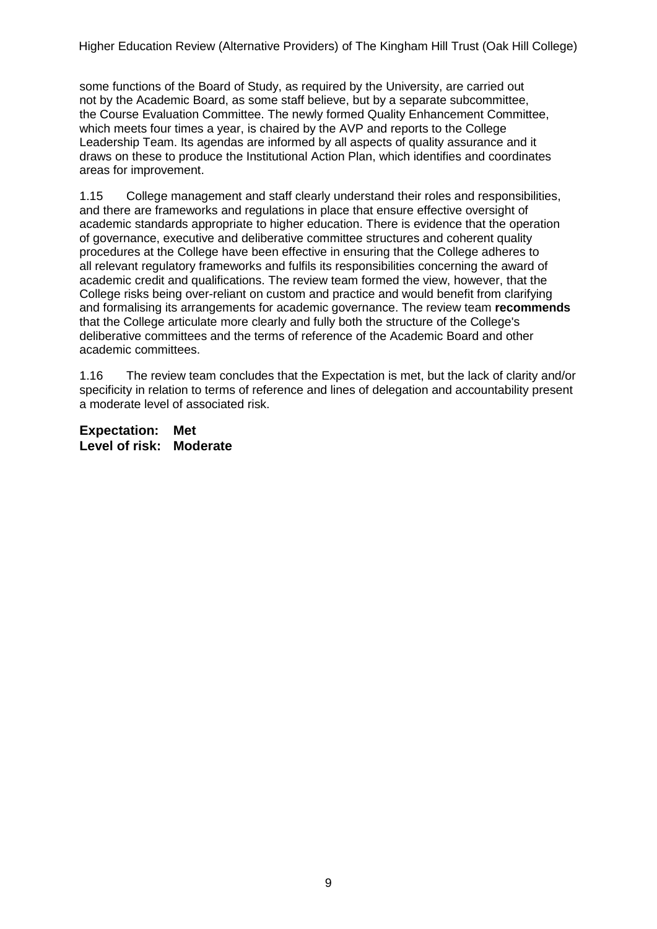some functions of the Board of Study, as required by the University, are carried out not by the Academic Board, as some staff believe, but by a separate subcommittee, the Course Evaluation Committee. The newly formed Quality Enhancement Committee, which meets four times a year, is chaired by the AVP and reports to the College Leadership Team. Its agendas are informed by all aspects of quality assurance and it draws on these to produce the Institutional Action Plan, which identifies and coordinates areas for improvement.

1.15 College management and staff clearly understand their roles and responsibilities, and there are frameworks and regulations in place that ensure effective oversight of academic standards appropriate to higher education. There is evidence that the operation of governance, executive and deliberative committee structures and coherent quality procedures at the College have been effective in ensuring that the College adheres to all relevant regulatory frameworks and fulfils its responsibilities concerning the award of academic credit and qualifications. The review team formed the view, however, that the College risks being over-reliant on custom and practice and would benefit from clarifying and formalising its arrangements for academic governance. The review team **recommends** that the College articulate more clearly and fully both the structure of the College's deliberative committees and the terms of reference of the Academic Board and other academic committees.

1.16 The review team concludes that the Expectation is met, but the lack of clarity and/or specificity in relation to terms of reference and lines of delegation and accountability present a moderate level of associated risk.

**Expectation: Met Level of risk: Moderate**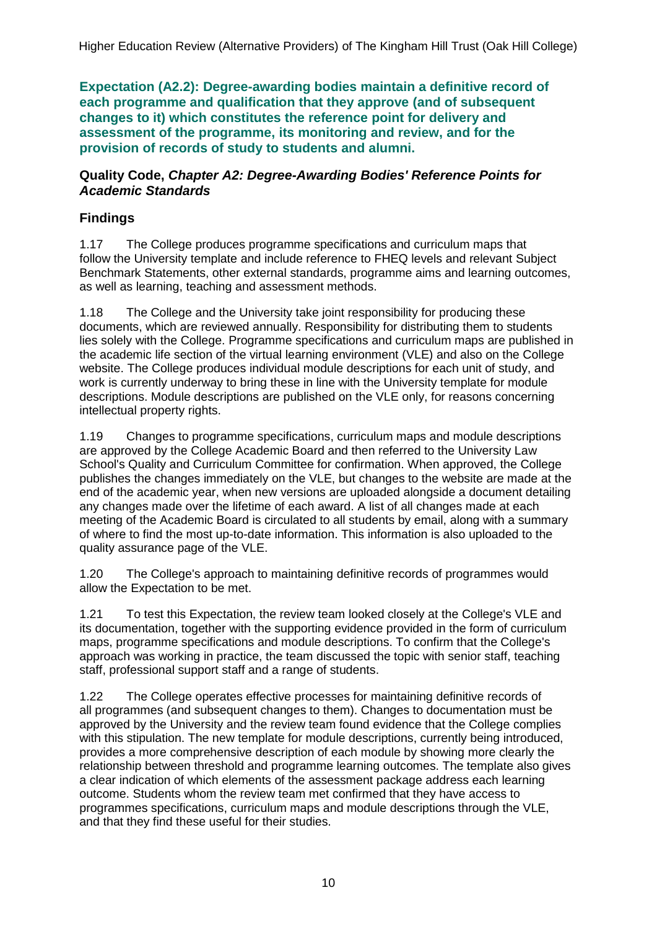**Expectation (A2.2): Degree-awarding bodies maintain a definitive record of each programme and qualification that they approve (and of subsequent changes to it) which constitutes the reference point for delivery and assessment of the programme, its monitoring and review, and for the provision of records of study to students and alumni.**

#### **Quality Code,** *Chapter A2: Degree-Awarding Bodies' Reference Points for Academic Standards*

### **Findings**

1.17 The College produces programme specifications and curriculum maps that follow the University template and include reference to FHEQ levels and relevant Subject Benchmark Statements, other external standards, programme aims and learning outcomes, as well as learning, teaching and assessment methods.

1.18 The College and the University take joint responsibility for producing these documents, which are reviewed annually. Responsibility for distributing them to students lies solely with the College. Programme specifications and curriculum maps are published in the academic life section of the virtual learning environment (VLE) and also on the College website. The College produces individual module descriptions for each unit of study, and work is currently underway to bring these in line with the University template for module descriptions. Module descriptions are published on the VLE only, for reasons concerning intellectual property rights.

1.19 Changes to programme specifications, curriculum maps and module descriptions are approved by the College Academic Board and then referred to the University Law School's Quality and Curriculum Committee for confirmation. When approved, the College publishes the changes immediately on the VLE, but changes to the website are made at the end of the academic year, when new versions are uploaded alongside a document detailing any changes made over the lifetime of each award. A list of all changes made at each meeting of the Academic Board is circulated to all students by email, along with a summary of where to find the most up-to-date information. This information is also uploaded to the quality assurance page of the VLE.

1.20 The College's approach to maintaining definitive records of programmes would allow the Expectation to be met.

1.21 To test this Expectation, the review team looked closely at the College's VLE and its documentation, together with the supporting evidence provided in the form of curriculum maps, programme specifications and module descriptions. To confirm that the College's approach was working in practice, the team discussed the topic with senior staff, teaching staff, professional support staff and a range of students.

1.22 The College operates effective processes for maintaining definitive records of all programmes (and subsequent changes to them). Changes to documentation must be approved by the University and the review team found evidence that the College complies with this stipulation. The new template for module descriptions, currently being introduced, provides a more comprehensive description of each module by showing more clearly the relationship between threshold and programme learning outcomes. The template also gives a clear indication of which elements of the assessment package address each learning outcome. Students whom the review team met confirmed that they have access to programmes specifications, curriculum maps and module descriptions through the VLE, and that they find these useful for their studies.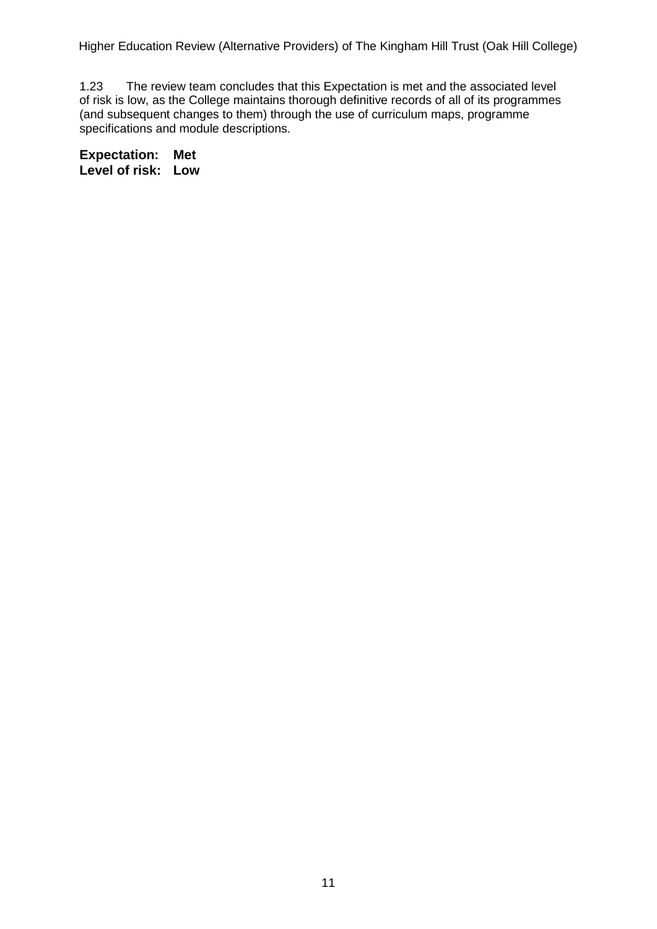1.23 The review team concludes that this Expectation is met and the associated level of risk is low, as the College maintains thorough definitive records of all of its programmes (and subsequent changes to them) through the use of curriculum maps, programme specifications and module descriptions.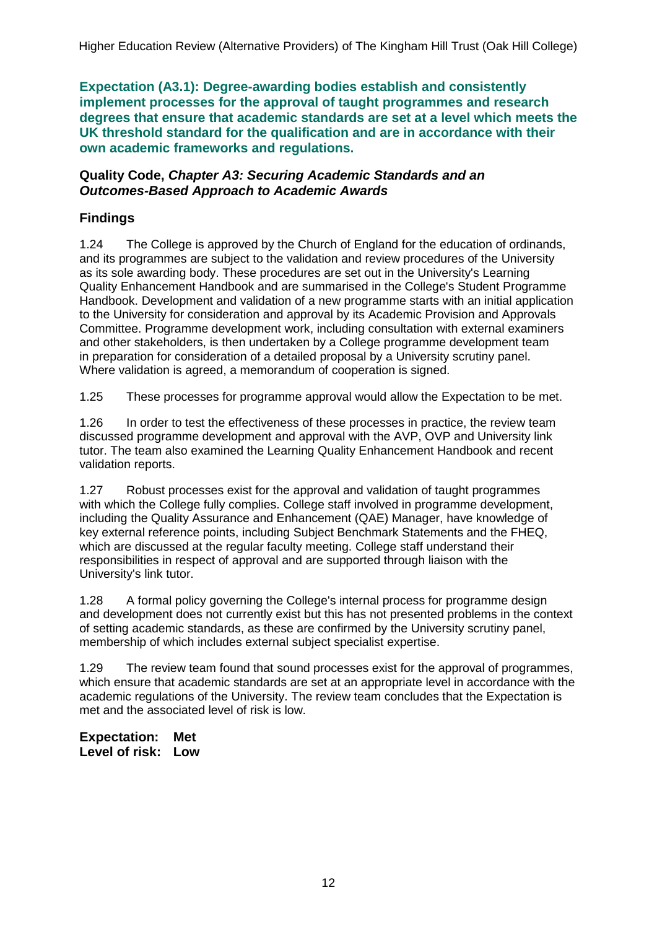**Expectation (A3.1): Degree-awarding bodies establish and consistently implement processes for the approval of taught programmes and research degrees that ensure that academic standards are set at a level which meets the UK threshold standard for the qualification and are in accordance with their own academic frameworks and regulations.**

#### **Quality Code,** *Chapter A3: Securing Academic Standards and an Outcomes-Based Approach to Academic Awards*

## **Findings**

1.24 The College is approved by the Church of England for the education of ordinands, and its programmes are subject to the validation and review procedures of the University as its sole awarding body. These procedures are set out in the University's Learning Quality Enhancement Handbook and are summarised in the College's Student Programme Handbook. Development and validation of a new programme starts with an initial application to the University for consideration and approval by its Academic Provision and Approvals Committee. Programme development work, including consultation with external examiners and other stakeholders, is then undertaken by a College programme development team in preparation for consideration of a detailed proposal by a University scrutiny panel. Where validation is agreed, a memorandum of cooperation is signed.

1.25 These processes for programme approval would allow the Expectation to be met.

1.26 In order to test the effectiveness of these processes in practice, the review team discussed programme development and approval with the AVP, OVP and University link tutor. The team also examined the Learning Quality Enhancement Handbook and recent validation reports.

1.27 Robust processes exist for the approval and validation of taught programmes with which the College fully complies. College staff involved in programme development, including the Quality Assurance and Enhancement (QAE) Manager, have knowledge of key external reference points, including Subject Benchmark Statements and the FHEQ, which are discussed at the regular faculty meeting. College staff understand their responsibilities in respect of approval and are supported through liaison with the University's link tutor.

1.28 A formal policy governing the College's internal process for programme design and development does not currently exist but this has not presented problems in the context of setting academic standards, as these are confirmed by the University scrutiny panel, membership of which includes external subject specialist expertise.

1.29 The review team found that sound processes exist for the approval of programmes, which ensure that academic standards are set at an appropriate level in accordance with the academic regulations of the University. The review team concludes that the Expectation is met and the associated level of risk is low.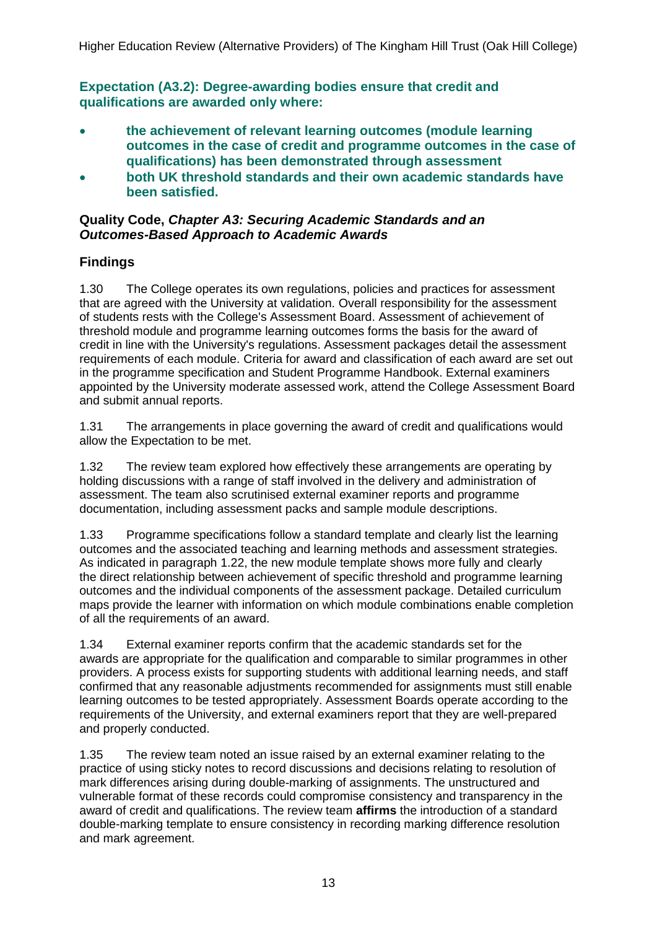**Expectation (A3.2): Degree-awarding bodies ensure that credit and qualifications are awarded only where:**

- **the achievement of relevant learning outcomes (module learning outcomes in the case of credit and programme outcomes in the case of qualifications) has been demonstrated through assessment**
- **both UK threshold standards and their own academic standards have been satisfied.**

### **Quality Code,** *Chapter A3: Securing Academic Standards and an Outcomes-Based Approach to Academic Awards*

## **Findings**

1.30 The College operates its own regulations, policies and practices for assessment that are agreed with the University at validation. Overall responsibility for the assessment of students rests with the College's Assessment Board. Assessment of achievement of threshold module and programme learning outcomes forms the basis for the award of credit in line with the University's regulations. Assessment packages detail the assessment requirements of each module. Criteria for award and classification of each award are set out in the programme specification and Student Programme Handbook. External examiners appointed by the University moderate assessed work, attend the College Assessment Board and submit annual reports.

1.31 The arrangements in place governing the award of credit and qualifications would allow the Expectation to be met.

1.32 The review team explored how effectively these arrangements are operating by holding discussions with a range of staff involved in the delivery and administration of assessment. The team also scrutinised external examiner reports and programme documentation, including assessment packs and sample module descriptions.

1.33 Programme specifications follow a standard template and clearly list the learning outcomes and the associated teaching and learning methods and assessment strategies. As indicated in paragraph 1.22, the new module template shows more fully and clearly the direct relationship between achievement of specific threshold and programme learning outcomes and the individual components of the assessment package. Detailed curriculum maps provide the learner with information on which module combinations enable completion of all the requirements of an award.

1.34 External examiner reports confirm that the academic standards set for the awards are appropriate for the qualification and comparable to similar programmes in other providers. A process exists for supporting students with additional learning needs, and staff confirmed that any reasonable adjustments recommended for assignments must still enable learning outcomes to be tested appropriately. Assessment Boards operate according to the requirements of the University, and external examiners report that they are well-prepared and properly conducted.

1.35 The review team noted an issue raised by an external examiner relating to the practice of using sticky notes to record discussions and decisions relating to resolution of mark differences arising during double-marking of assignments. The unstructured and vulnerable format of these records could compromise consistency and transparency in the award of credit and qualifications. The review team **affirms** the introduction of a standard double-marking template to ensure consistency in recording marking difference resolution and mark agreement.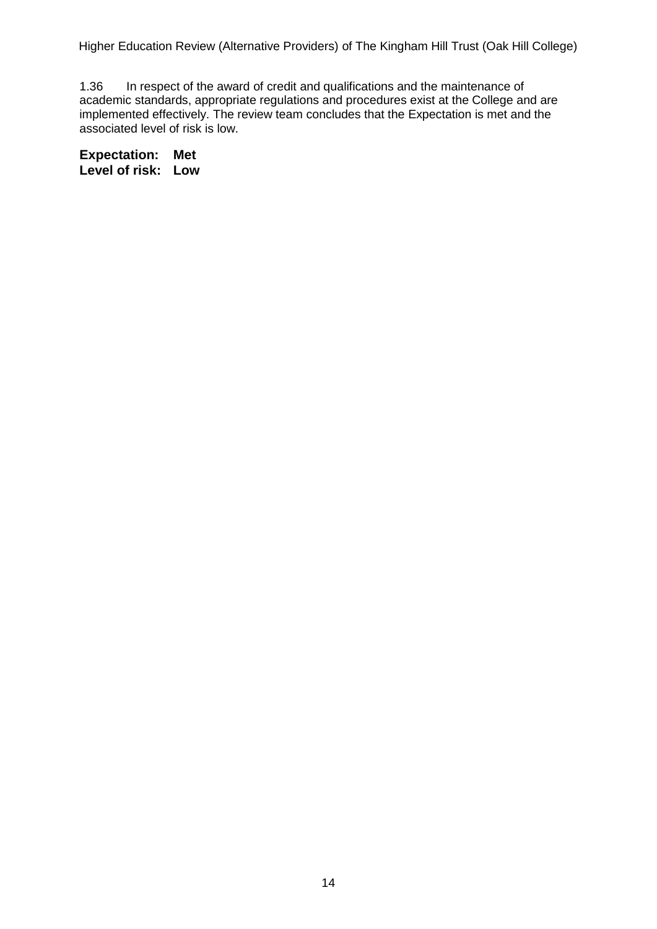1.36 In respect of the award of credit and qualifications and the maintenance of academic standards, appropriate regulations and procedures exist at the College and are implemented effectively. The review team concludes that the Expectation is met and the associated level of risk is low.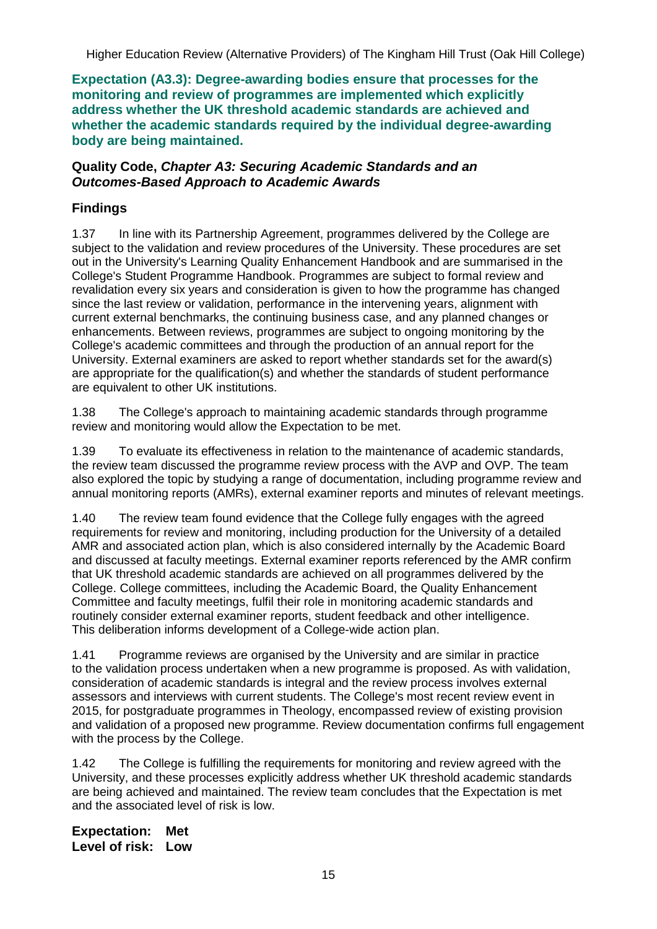**Expectation (A3.3): Degree-awarding bodies ensure that processes for the monitoring and review of programmes are implemented which explicitly address whether the UK threshold academic standards are achieved and whether the academic standards required by the individual degree-awarding body are being maintained.**

### **Quality Code,** *Chapter A3: Securing Academic Standards and an Outcomes-Based Approach to Academic Awards*

## **Findings**

1.37 In line with its Partnership Agreement, programmes delivered by the College are subject to the validation and review procedures of the University. These procedures are set out in the University's Learning Quality Enhancement Handbook and are summarised in the College's Student Programme Handbook. Programmes are subject to formal review and revalidation every six years and consideration is given to how the programme has changed since the last review or validation, performance in the intervening years, alignment with current external benchmarks, the continuing business case, and any planned changes or enhancements. Between reviews, programmes are subject to ongoing monitoring by the College's academic committees and through the production of an annual report for the University. External examiners are asked to report whether standards set for the award(s) are appropriate for the qualification(s) and whether the standards of student performance are equivalent to other UK institutions.

1.38 The College's approach to maintaining academic standards through programme review and monitoring would allow the Expectation to be met.

1.39 To evaluate its effectiveness in relation to the maintenance of academic standards, the review team discussed the programme review process with the AVP and OVP. The team also explored the topic by studying a range of documentation, including programme review and annual monitoring reports (AMRs), external examiner reports and minutes of relevant meetings.

1.40 The review team found evidence that the College fully engages with the agreed requirements for review and monitoring, including production for the University of a detailed AMR and associated action plan, which is also considered internally by the Academic Board and discussed at faculty meetings. External examiner reports referenced by the AMR confirm that UK threshold academic standards are achieved on all programmes delivered by the College. College committees, including the Academic Board, the Quality Enhancement Committee and faculty meetings, fulfil their role in monitoring academic standards and routinely consider external examiner reports, student feedback and other intelligence. This deliberation informs development of a College-wide action plan.

1.41 Programme reviews are organised by the University and are similar in practice to the validation process undertaken when a new programme is proposed. As with validation, consideration of academic standards is integral and the review process involves external assessors and interviews with current students. The College's most recent review event in 2015, for postgraduate programmes in Theology, encompassed review of existing provision and validation of a proposed new programme. Review documentation confirms full engagement with the process by the College.

1.42 The College is fulfilling the requirements for monitoring and review agreed with the University, and these processes explicitly address whether UK threshold academic standards are being achieved and maintained. The review team concludes that the Expectation is met and the associated level of risk is low.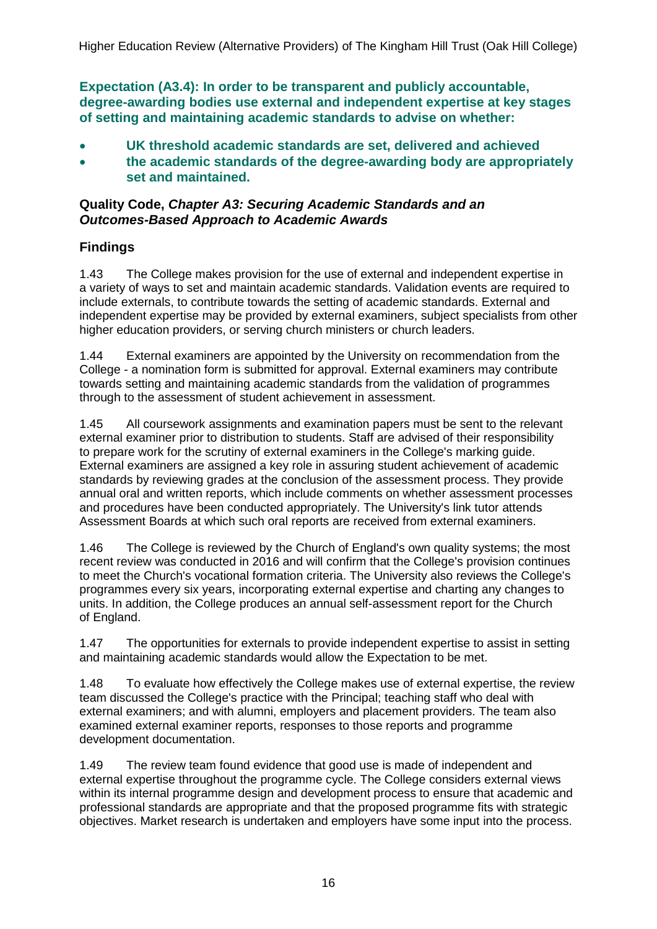**Expectation (A3.4): In order to be transparent and publicly accountable, degree-awarding bodies use external and independent expertise at key stages of setting and maintaining academic standards to advise on whether:**

- **UK threshold academic standards are set, delivered and achieved**
- **the academic standards of the degree-awarding body are appropriately set and maintained.**

#### **Quality Code,** *Chapter A3: Securing Academic Standards and an Outcomes-Based Approach to Academic Awards*

### **Findings**

1.43 The College makes provision for the use of external and independent expertise in a variety of ways to set and maintain academic standards. Validation events are required to include externals, to contribute towards the setting of academic standards. External and independent expertise may be provided by external examiners, subject specialists from other higher education providers, or serving church ministers or church leaders.

1.44 External examiners are appointed by the University on recommendation from the College - a nomination form is submitted for approval. External examiners may contribute towards setting and maintaining academic standards from the validation of programmes through to the assessment of student achievement in assessment.

1.45 All coursework assignments and examination papers must be sent to the relevant external examiner prior to distribution to students. Staff are advised of their responsibility to prepare work for the scrutiny of external examiners in the College's marking guide. External examiners are assigned a key role in assuring student achievement of academic standards by reviewing grades at the conclusion of the assessment process. They provide annual oral and written reports, which include comments on whether assessment processes and procedures have been conducted appropriately. The University's link tutor attends Assessment Boards at which such oral reports are received from external examiners.

1.46 The College is reviewed by the Church of England's own quality systems; the most recent review was conducted in 2016 and will confirm that the College's provision continues to meet the Church's vocational formation criteria. The University also reviews the College's programmes every six years, incorporating external expertise and charting any changes to units. In addition, the College produces an annual self-assessment report for the Church of England.

1.47 The opportunities for externals to provide independent expertise to assist in setting and maintaining academic standards would allow the Expectation to be met.

1.48 To evaluate how effectively the College makes use of external expertise, the review team discussed the College's practice with the Principal; teaching staff who deal with external examiners; and with alumni, employers and placement providers. The team also examined external examiner reports, responses to those reports and programme development documentation.

1.49 The review team found evidence that good use is made of independent and external expertise throughout the programme cycle. The College considers external views within its internal programme design and development process to ensure that academic and professional standards are appropriate and that the proposed programme fits with strategic objectives. Market research is undertaken and employers have some input into the process.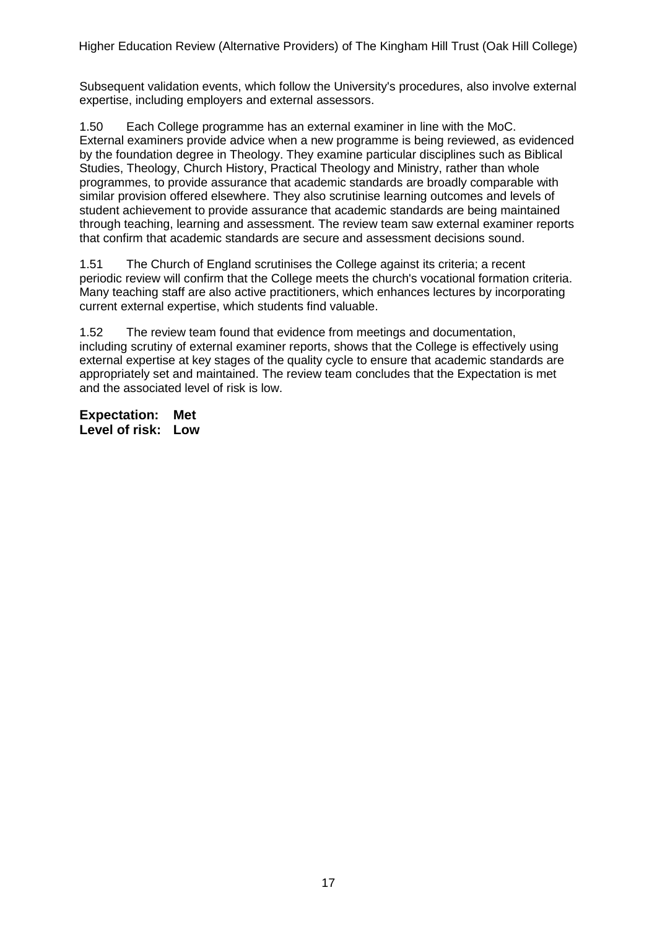Subsequent validation events, which follow the University's procedures, also involve external expertise, including employers and external assessors.

1.50 Each College programme has an external examiner in line with the MoC. External examiners provide advice when a new programme is being reviewed, as evidenced by the foundation degree in Theology. They examine particular disciplines such as Biblical Studies, Theology, Church History, Practical Theology and Ministry, rather than whole programmes, to provide assurance that academic standards are broadly comparable with similar provision offered elsewhere. They also scrutinise learning outcomes and levels of student achievement to provide assurance that academic standards are being maintained through teaching, learning and assessment. The review team saw external examiner reports that confirm that academic standards are secure and assessment decisions sound.

1.51 The Church of England scrutinises the College against its criteria; a recent periodic review will confirm that the College meets the church's vocational formation criteria. Many teaching staff are also active practitioners, which enhances lectures by incorporating current external expertise, which students find valuable.

1.52 The review team found that evidence from meetings and documentation, including scrutiny of external examiner reports, shows that the College is effectively using external expertise at key stages of the quality cycle to ensure that academic standards are appropriately set and maintained. The review team concludes that the Expectation is met and the associated level of risk is low.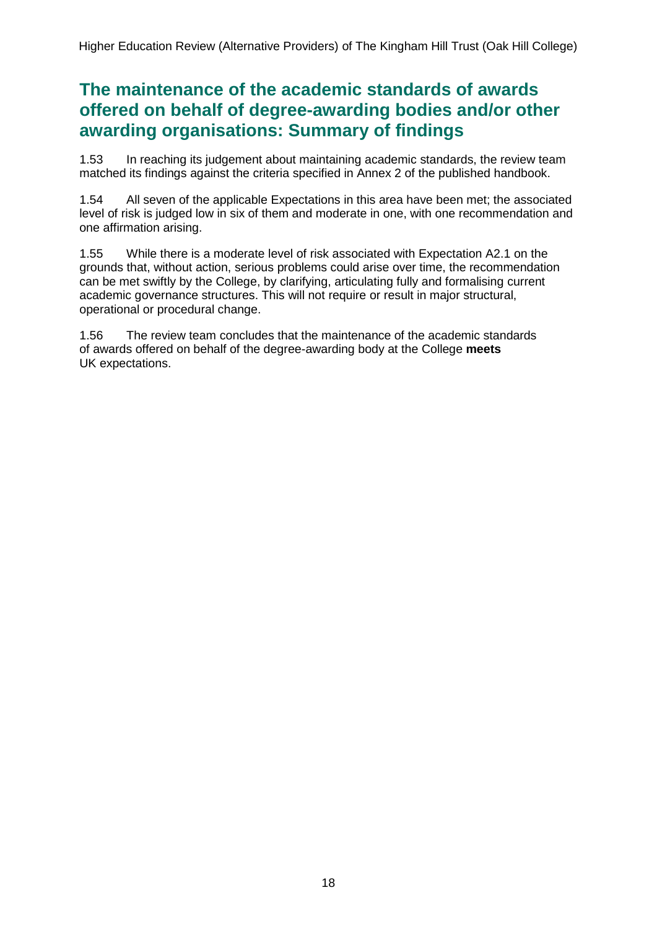## **The maintenance of the academic standards of awards offered on behalf of degree-awarding bodies and/or other awarding organisations: Summary of findings**

1.53 In reaching its judgement about maintaining academic standards, the review team matched its findings against the criteria specified in Annex 2 of the published handbook.

1.54 All seven of the applicable Expectations in this area have been met; the associated level of risk is judged low in six of them and moderate in one, with one recommendation and one affirmation arising.

1.55 While there is a moderate level of risk associated with Expectation A2.1 on the grounds that, without action, serious problems could arise over time, the recommendation can be met swiftly by the College, by clarifying, articulating fully and formalising current academic governance structures. This will not require or result in major structural, operational or procedural change.

1.56 The review team concludes that the maintenance of the academic standards of awards offered on behalf of the degree-awarding body at the College **meets** UK expectations.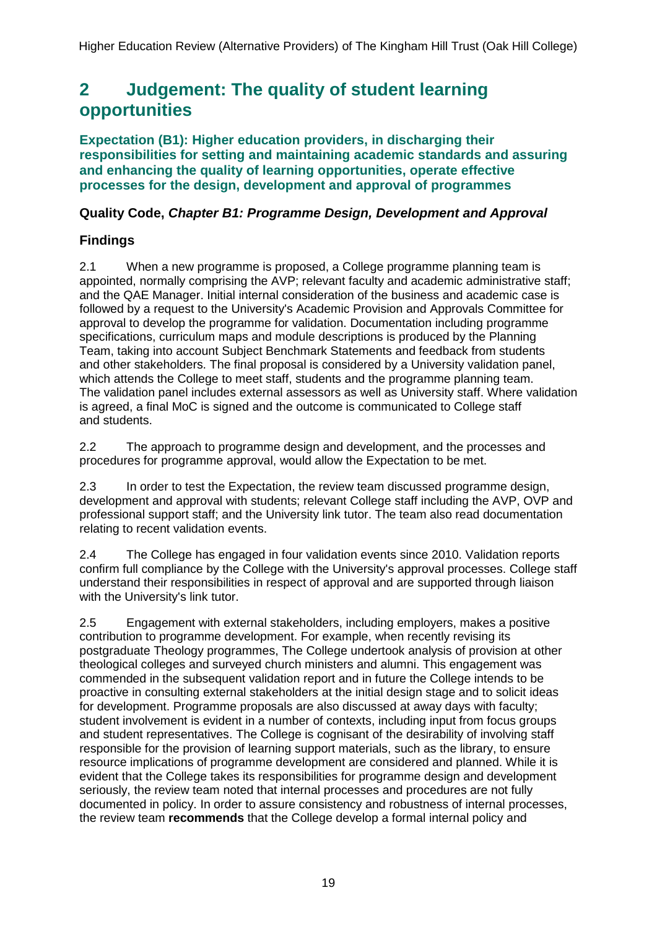## <span id="page-19-0"></span>**2 Judgement: The quality of student learning opportunities**

**Expectation (B1): Higher education providers, in discharging their responsibilities for setting and maintaining academic standards and assuring and enhancing the quality of learning opportunities, operate effective processes for the design, development and approval of programmes**

## **Quality Code,** *Chapter B1: Programme Design, Development and Approval*

## **Findings**

2.1 When a new programme is proposed, a College programme planning team is appointed, normally comprising the AVP; relevant faculty and academic administrative staff; and the QAE Manager. Initial internal consideration of the business and academic case is followed by a request to the University's Academic Provision and Approvals Committee for approval to develop the programme for validation. Documentation including programme specifications, curriculum maps and module descriptions is produced by the Planning Team, taking into account Subject Benchmark Statements and feedback from students and other stakeholders. The final proposal is considered by a University validation panel, which attends the College to meet staff, students and the programme planning team. The validation panel includes external assessors as well as University staff. Where validation is agreed, a final MoC is signed and the outcome is communicated to College staff and students.

2.2 The approach to programme design and development, and the processes and procedures for programme approval, would allow the Expectation to be met.

2.3 In order to test the Expectation, the review team discussed programme design, development and approval with students; relevant College staff including the AVP, OVP and professional support staff; and the University link tutor. The team also read documentation relating to recent validation events.

2.4 The College has engaged in four validation events since 2010. Validation reports confirm full compliance by the College with the University's approval processes. College staff understand their responsibilities in respect of approval and are supported through liaison with the University's link tutor.

2.5 Engagement with external stakeholders, including employers, makes a positive contribution to programme development. For example, when recently revising its postgraduate Theology programmes, The College undertook analysis of provision at other theological colleges and surveyed church ministers and alumni. This engagement was commended in the subsequent validation report and in future the College intends to be proactive in consulting external stakeholders at the initial design stage and to solicit ideas for development. Programme proposals are also discussed at away days with faculty; student involvement is evident in a number of contexts, including input from focus groups and student representatives. The College is cognisant of the desirability of involving staff responsible for the provision of learning support materials, such as the library, to ensure resource implications of programme development are considered and planned. While it is evident that the College takes its responsibilities for programme design and development seriously, the review team noted that internal processes and procedures are not fully documented in policy. In order to assure consistency and robustness of internal processes, the review team **recommends** that the College develop a formal internal policy and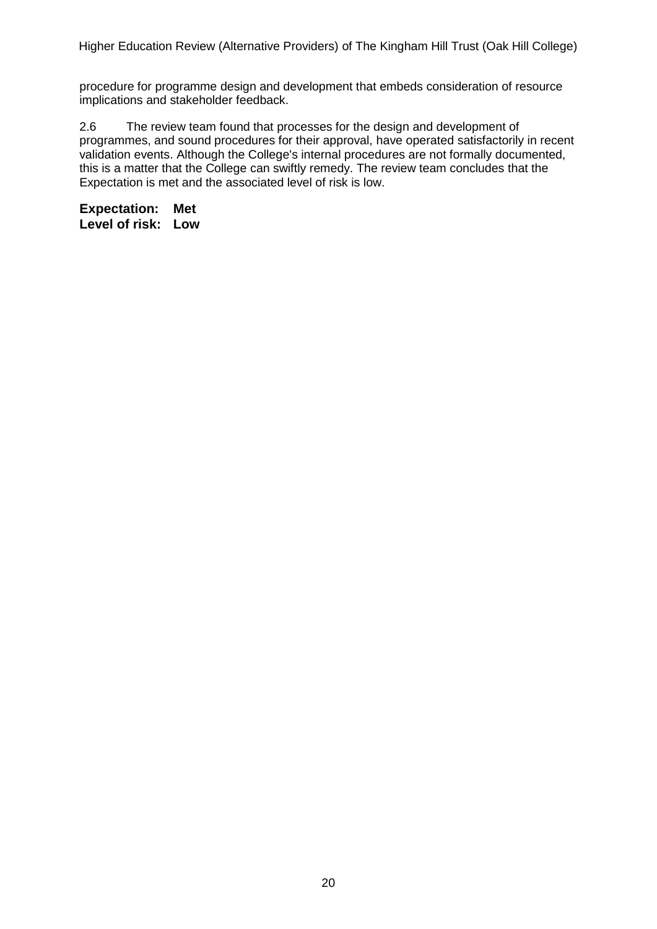procedure for programme design and development that embeds consideration of resource implications and stakeholder feedback.

2.6 The review team found that processes for the design and development of programmes, and sound procedures for their approval, have operated satisfactorily in recent validation events. Although the College's internal procedures are not formally documented, this is a matter that the College can swiftly remedy. The review team concludes that the Expectation is met and the associated level of risk is low.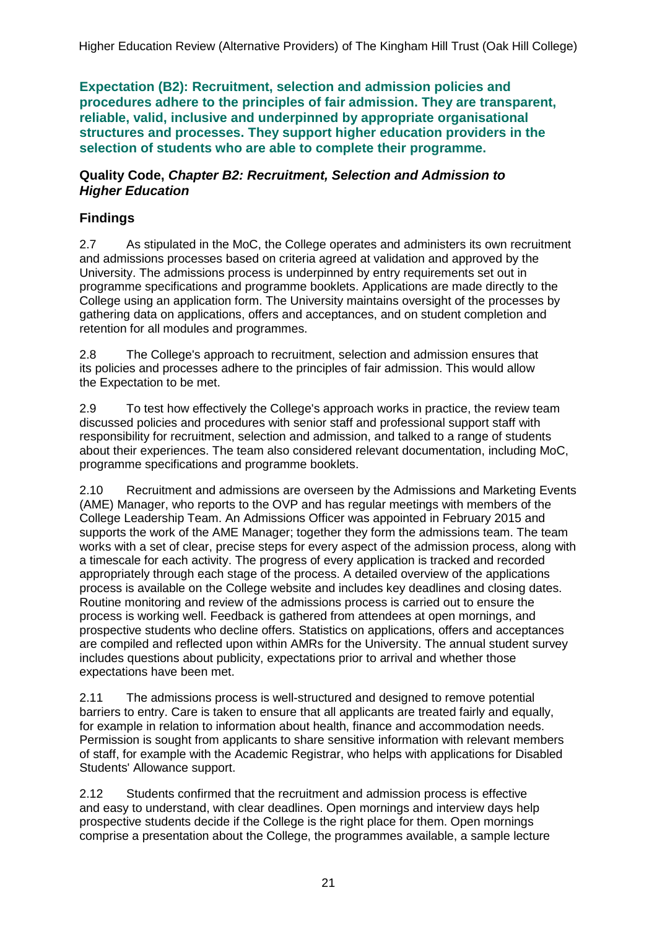**Expectation (B2): Recruitment, selection and admission policies and procedures adhere to the principles of fair admission. They are transparent, reliable, valid, inclusive and underpinned by appropriate organisational structures and processes. They support higher education providers in the selection of students who are able to complete their programme.**

#### **Quality Code,** *Chapter B2: Recruitment, Selection and Admission to Higher Education*

## **Findings**

2.7 As stipulated in the MoC, the College operates and administers its own recruitment and admissions processes based on criteria agreed at validation and approved by the University. The admissions process is underpinned by entry requirements set out in programme specifications and programme booklets. Applications are made directly to the College using an application form. The University maintains oversight of the processes by gathering data on applications, offers and acceptances, and on student completion and retention for all modules and programmes.

2.8 The College's approach to recruitment, selection and admission ensures that its policies and processes adhere to the principles of fair admission. This would allow the Expectation to be met.

2.9 To test how effectively the College's approach works in practice, the review team discussed policies and procedures with senior staff and professional support staff with responsibility for recruitment, selection and admission, and talked to a range of students about their experiences. The team also considered relevant documentation, including MoC, programme specifications and programme booklets.

2.10 Recruitment and admissions are overseen by the Admissions and Marketing Events (AME) Manager, who reports to the OVP and has regular meetings with members of the College Leadership Team. An Admissions Officer was appointed in February 2015 and supports the work of the AME Manager; together they form the admissions team. The team works with a set of clear, precise steps for every aspect of the admission process, along with a timescale for each activity. The progress of every application is tracked and recorded appropriately through each stage of the process. A detailed overview of the applications process is available on the College website and includes key deadlines and closing dates. Routine monitoring and review of the admissions process is carried out to ensure the process is working well. Feedback is gathered from attendees at open mornings, and prospective students who decline offers. Statistics on applications, offers and acceptances are compiled and reflected upon within AMRs for the University. The annual student survey includes questions about publicity, expectations prior to arrival and whether those expectations have been met.

2.11 The admissions process is well-structured and designed to remove potential barriers to entry. Care is taken to ensure that all applicants are treated fairly and equally, for example in relation to information about health, finance and accommodation needs. Permission is sought from applicants to share sensitive information with relevant members of staff, for example with the Academic Registrar, who helps with applications for Disabled Students' Allowance support.

2.12 Students confirmed that the recruitment and admission process is effective and easy to understand, with clear deadlines. Open mornings and interview days help prospective students decide if the College is the right place for them. Open mornings comprise a presentation about the College, the programmes available, a sample lecture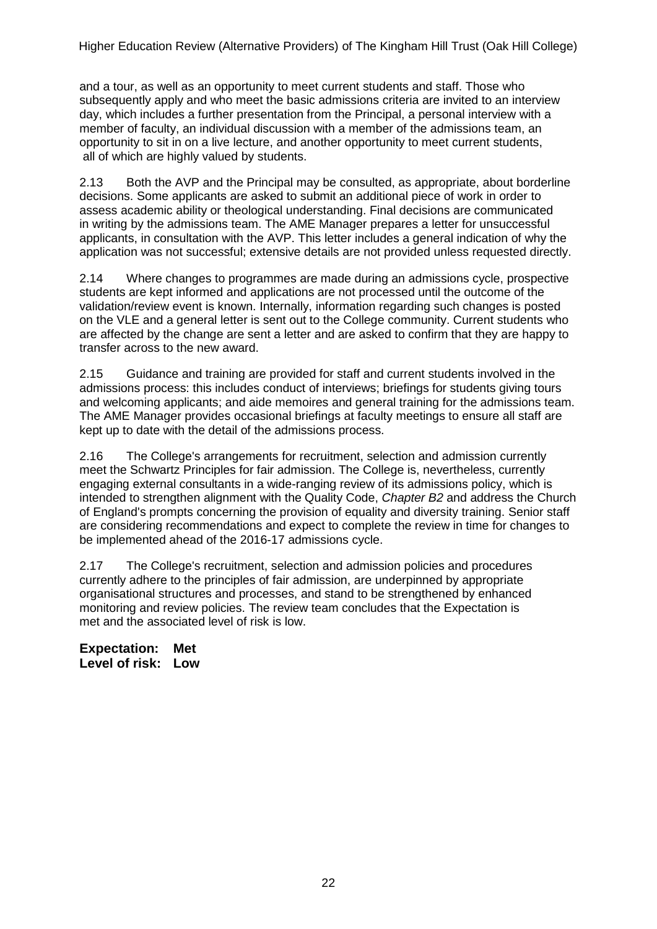and a tour, as well as an opportunity to meet current students and staff. Those who subsequently apply and who meet the basic admissions criteria are invited to an interview day, which includes a further presentation from the Principal, a personal interview with a member of faculty, an individual discussion with a member of the admissions team, an opportunity to sit in on a live lecture, and another opportunity to meet current students, all of which are highly valued by students.

2.13 Both the AVP and the Principal may be consulted, as appropriate, about borderline decisions. Some applicants are asked to submit an additional piece of work in order to assess academic ability or theological understanding. Final decisions are communicated in writing by the admissions team. The AME Manager prepares a letter for unsuccessful applicants, in consultation with the AVP. This letter includes a general indication of why the application was not successful; extensive details are not provided unless requested directly.

2.14 Where changes to programmes are made during an admissions cycle, prospective students are kept informed and applications are not processed until the outcome of the validation/review event is known. Internally, information regarding such changes is posted on the VLE and a general letter is sent out to the College community. Current students who are affected by the change are sent a letter and are asked to confirm that they are happy to transfer across to the new award.

2.15 Guidance and training are provided for staff and current students involved in the admissions process: this includes conduct of interviews; briefings for students giving tours and welcoming applicants; and aide memoires and general training for the admissions team. The AME Manager provides occasional briefings at faculty meetings to ensure all staff are kept up to date with the detail of the admissions process.

2.16 The College's arrangements for recruitment, selection and admission currently meet the Schwartz Principles for fair admission. The College is, nevertheless, currently engaging external consultants in a wide-ranging review of its admissions policy, which is intended to strengthen alignment with the Quality Code, *Chapter B2* and address the Church of England's prompts concerning the provision of equality and diversity training. Senior staff are considering recommendations and expect to complete the review in time for changes to be implemented ahead of the 2016-17 admissions cycle.

2.17 The College's recruitment, selection and admission policies and procedures currently adhere to the principles of fair admission, are underpinned by appropriate organisational structures and processes, and stand to be strengthened by enhanced monitoring and review policies. The review team concludes that the Expectation is met and the associated level of risk is low.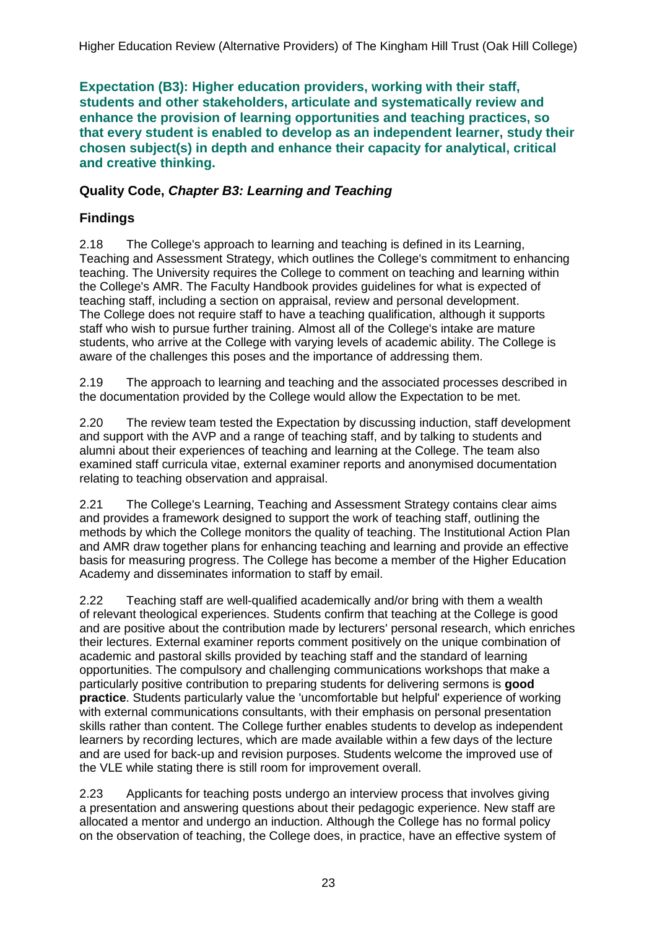**Expectation (B3): Higher education providers, working with their staff, students and other stakeholders, articulate and systematically review and enhance the provision of learning opportunities and teaching practices, so that every student is enabled to develop as an independent learner, study their chosen subject(s) in depth and enhance their capacity for analytical, critical and creative thinking.**

### **Quality Code,** *Chapter B3: Learning and Teaching*

## **Findings**

2.18 The College's approach to learning and teaching is defined in its Learning, Teaching and Assessment Strategy, which outlines the College's commitment to enhancing teaching. The University requires the College to comment on teaching and learning within the College's AMR. The Faculty Handbook provides guidelines for what is expected of teaching staff, including a section on appraisal, review and personal development. The College does not require staff to have a teaching qualification, although it supports staff who wish to pursue further training. Almost all of the College's intake are mature students, who arrive at the College with varying levels of academic ability. The College is aware of the challenges this poses and the importance of addressing them.

2.19 The approach to learning and teaching and the associated processes described in the documentation provided by the College would allow the Expectation to be met.

2.20 The review team tested the Expectation by discussing induction, staff development and support with the AVP and a range of teaching staff, and by talking to students and alumni about their experiences of teaching and learning at the College. The team also examined staff curricula vitae, external examiner reports and anonymised documentation relating to teaching observation and appraisal.

2.21 The College's Learning, Teaching and Assessment Strategy contains clear aims and provides a framework designed to support the work of teaching staff, outlining the methods by which the College monitors the quality of teaching. The Institutional Action Plan and AMR draw together plans for enhancing teaching and learning and provide an effective basis for measuring progress. The College has become a member of the Higher Education Academy and disseminates information to staff by email.

2.22 Teaching staff are well-qualified academically and/or bring with them a wealth of relevant theological experiences. Students confirm that teaching at the College is good and are positive about the contribution made by lecturers' personal research, which enriches their lectures. External examiner reports comment positively on the unique combination of academic and pastoral skills provided by teaching staff and the standard of learning opportunities. The compulsory and challenging communications workshops that make a particularly positive contribution to preparing students for delivering sermons is **good practice**. Students particularly value the 'uncomfortable but helpful' experience of working with external communications consultants, with their emphasis on personal presentation skills rather than content. The College further enables students to develop as independent learners by recording lectures, which are made available within a few days of the lecture and are used for back-up and revision purposes. Students welcome the improved use of the VLE while stating there is still room for improvement overall.

2.23 Applicants for teaching posts undergo an interview process that involves giving a presentation and answering questions about their pedagogic experience. New staff are allocated a mentor and undergo an induction. Although the College has no formal policy on the observation of teaching, the College does, in practice, have an effective system of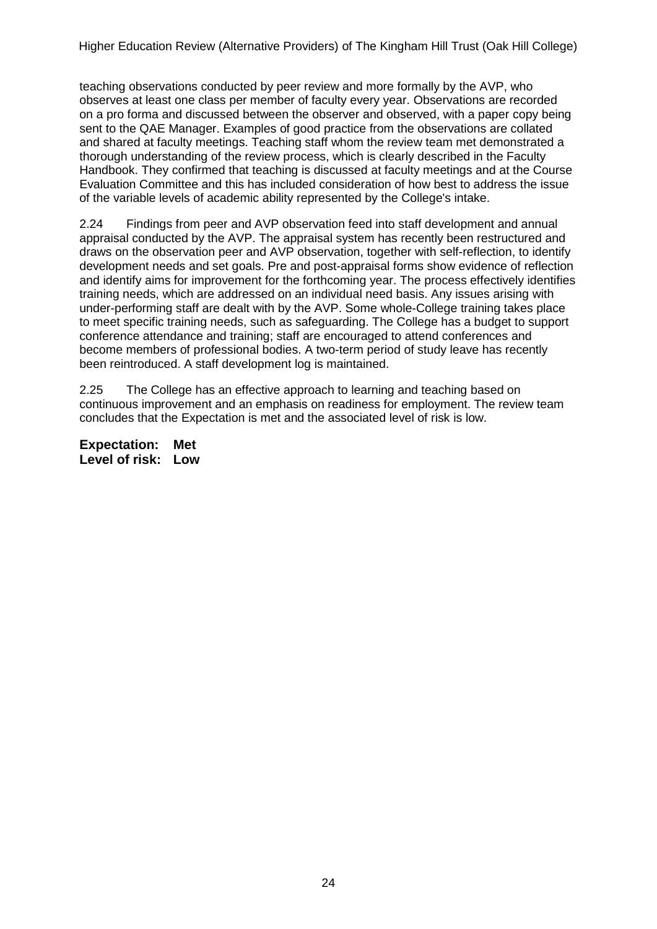teaching observations conducted by peer review and more formally by the AVP, who observes at least one class per member of faculty every year. Observations are recorded on a pro forma and discussed between the observer and observed, with a paper copy being sent to the QAE Manager. Examples of good practice from the observations are collated and shared at faculty meetings. Teaching staff whom the review team met demonstrated a thorough understanding of the review process, which is clearly described in the Faculty Handbook. They confirmed that teaching is discussed at faculty meetings and at the Course Evaluation Committee and this has included consideration of how best to address the issue of the variable levels of academic ability represented by the College's intake.

2.24 Findings from peer and AVP observation feed into staff development and annual appraisal conducted by the AVP. The appraisal system has recently been restructured and draws on the observation peer and AVP observation, together with self-reflection, to identify development needs and set goals. Pre and post-appraisal forms show evidence of reflection and identify aims for improvement for the forthcoming year. The process effectively identifies training needs, which are addressed on an individual need basis. Any issues arising with under-performing staff are dealt with by the AVP. Some whole-College training takes place to meet specific training needs, such as safeguarding. The College has a budget to support conference attendance and training; staff are encouraged to attend conferences and become members of professional bodies. A two-term period of study leave has recently been reintroduced. A staff development log is maintained.

2.25 The College has an effective approach to learning and teaching based on continuous improvement and an emphasis on readiness for employment. The review team concludes that the Expectation is met and the associated level of risk is low.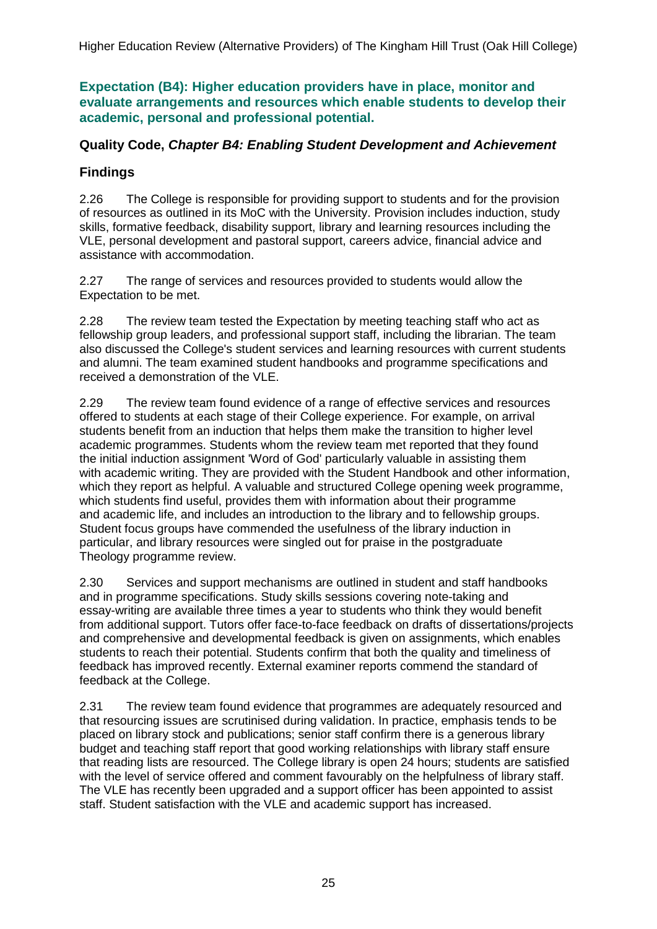**Expectation (B4): Higher education providers have in place, monitor and evaluate arrangements and resources which enable students to develop their academic, personal and professional potential.**

### **Quality Code,** *Chapter B4: Enabling Student Development and Achievement*

### **Findings**

2.26 The College is responsible for providing support to students and for the provision of resources as outlined in its MoC with the University. Provision includes induction, study skills, formative feedback, disability support, library and learning resources including the VLE, personal development and pastoral support, careers advice, financial advice and assistance with accommodation.

2.27 The range of services and resources provided to students would allow the Expectation to be met.

2.28 The review team tested the Expectation by meeting teaching staff who act as fellowship group leaders, and professional support staff, including the librarian. The team also discussed the College's student services and learning resources with current students and alumni. The team examined student handbooks and programme specifications and received a demonstration of the VLE.

2.29 The review team found evidence of a range of effective services and resources offered to students at each stage of their College experience. For example, on arrival students benefit from an induction that helps them make the transition to higher level academic programmes. Students whom the review team met reported that they found the initial induction assignment 'Word of God' particularly valuable in assisting them with academic writing. They are provided with the Student Handbook and other information, which they report as helpful. A valuable and structured College opening week programme, which students find useful, provides them with information about their programme and academic life, and includes an introduction to the library and to fellowship groups. Student focus groups have commended the usefulness of the library induction in particular, and library resources were singled out for praise in the postgraduate Theology programme review.

2.30 Services and support mechanisms are outlined in student and staff handbooks and in programme specifications. Study skills sessions covering note-taking and essay-writing are available three times a year to students who think they would benefit from additional support. Tutors offer face-to-face feedback on drafts of dissertations/projects and comprehensive and developmental feedback is given on assignments, which enables students to reach their potential. Students confirm that both the quality and timeliness of feedback has improved recently. External examiner reports commend the standard of feedback at the College.

2.31 The review team found evidence that programmes are adequately resourced and that resourcing issues are scrutinised during validation. In practice, emphasis tends to be placed on library stock and publications; senior staff confirm there is a generous library budget and teaching staff report that good working relationships with library staff ensure that reading lists are resourced. The College library is open 24 hours; students are satisfied with the level of service offered and comment favourably on the helpfulness of library staff. The VLE has recently been upgraded and a support officer has been appointed to assist staff. Student satisfaction with the VLE and academic support has increased.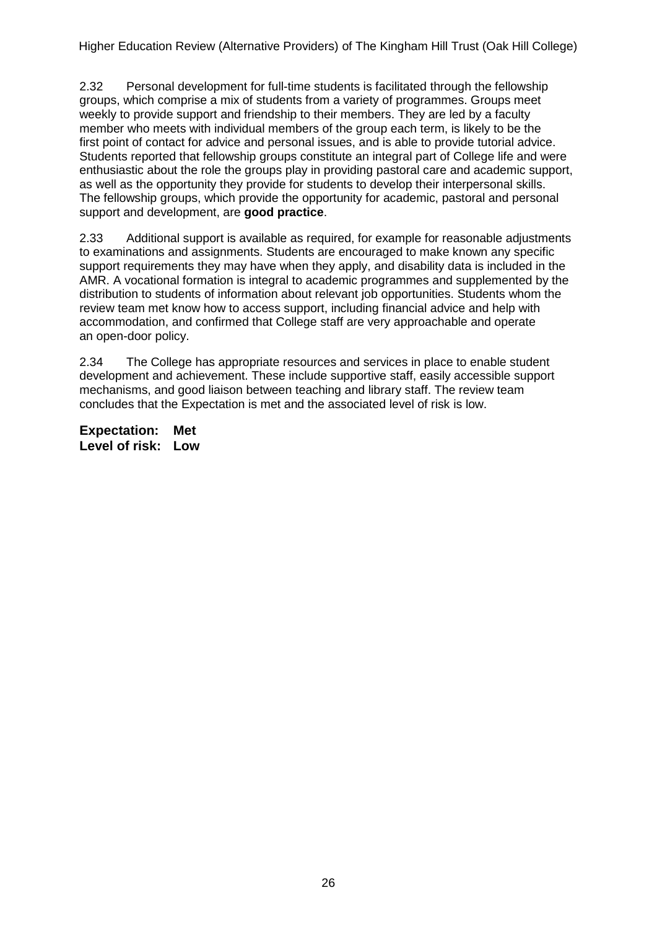2.32 Personal development for full-time students is facilitated through the fellowship groups, which comprise a mix of students from a variety of programmes. Groups meet weekly to provide support and friendship to their members. They are led by a faculty member who meets with individual members of the group each term, is likely to be the first point of contact for advice and personal issues, and is able to provide tutorial advice. Students reported that fellowship groups constitute an integral part of College life and were enthusiastic about the role the groups play in providing pastoral care and academic support, as well as the opportunity they provide for students to develop their interpersonal skills. The fellowship groups, which provide the opportunity for academic, pastoral and personal support and development, are **good practice**.

2.33 Additional support is available as required, for example for reasonable adjustments to examinations and assignments. Students are encouraged to make known any specific support requirements they may have when they apply, and disability data is included in the AMR. A vocational formation is integral to academic programmes and supplemented by the distribution to students of information about relevant job opportunities. Students whom the review team met know how to access support, including financial advice and help with accommodation, and confirmed that College staff are very approachable and operate an open-door policy.

2.34 The College has appropriate resources and services in place to enable student development and achievement. These include supportive staff, easily accessible support mechanisms, and good liaison between teaching and library staff. The review team concludes that the Expectation is met and the associated level of risk is low.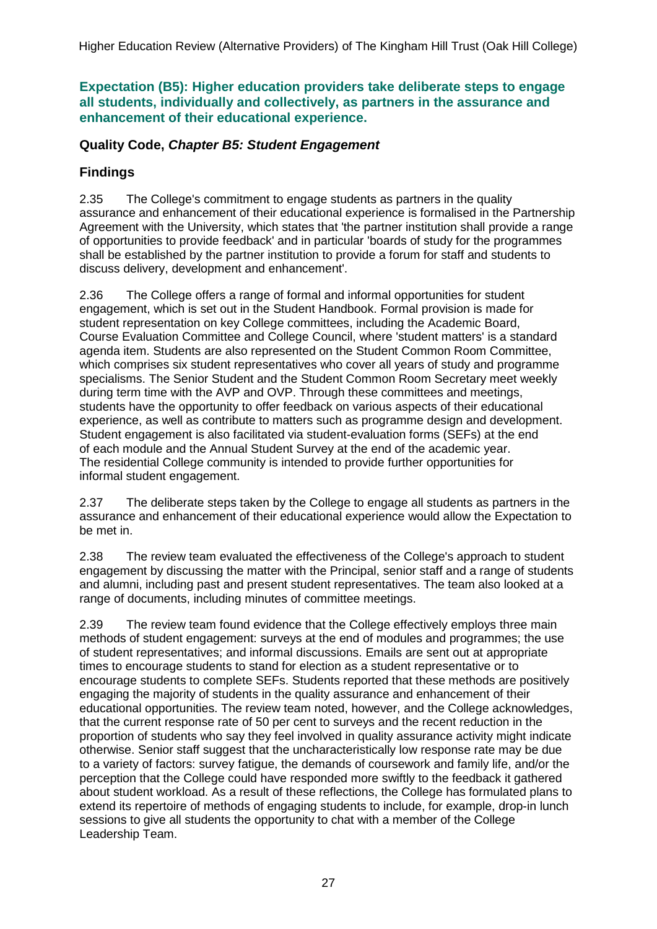**Expectation (B5): Higher education providers take deliberate steps to engage all students, individually and collectively, as partners in the assurance and enhancement of their educational experience.**

### **Quality Code,** *Chapter B5: Student Engagement*

### **Findings**

2.35 The College's commitment to engage students as partners in the quality assurance and enhancement of their educational experience is formalised in the Partnership Agreement with the University, which states that 'the partner institution shall provide a range of opportunities to provide feedback' and in particular 'boards of study for the programmes shall be established by the partner institution to provide a forum for staff and students to discuss delivery, development and enhancement'.

2.36 The College offers a range of formal and informal opportunities for student engagement, which is set out in the Student Handbook. Formal provision is made for student representation on key College committees, including the Academic Board, Course Evaluation Committee and College Council, where 'student matters' is a standard agenda item. Students are also represented on the Student Common Room Committee, which comprises six student representatives who cover all years of study and programme specialisms. The Senior Student and the Student Common Room Secretary meet weekly during term time with the AVP and OVP. Through these committees and meetings, students have the opportunity to offer feedback on various aspects of their educational experience, as well as contribute to matters such as programme design and development. Student engagement is also facilitated via student-evaluation forms (SEFs) at the end of each module and the Annual Student Survey at the end of the academic year. The residential College community is intended to provide further opportunities for informal student engagement.

2.37 The deliberate steps taken by the College to engage all students as partners in the assurance and enhancement of their educational experience would allow the Expectation to be met in.

2.38 The review team evaluated the effectiveness of the College's approach to student engagement by discussing the matter with the Principal, senior staff and a range of students and alumni, including past and present student representatives. The team also looked at a range of documents, including minutes of committee meetings.

2.39 The review team found evidence that the College effectively employs three main methods of student engagement: surveys at the end of modules and programmes; the use of student representatives; and informal discussions. Emails are sent out at appropriate times to encourage students to stand for election as a student representative or to encourage students to complete SEFs. Students reported that these methods are positively engaging the majority of students in the quality assurance and enhancement of their educational opportunities. The review team noted, however, and the College acknowledges, that the current response rate of 50 per cent to surveys and the recent reduction in the proportion of students who say they feel involved in quality assurance activity might indicate otherwise. Senior staff suggest that the uncharacteristically low response rate may be due to a variety of factors: survey fatigue, the demands of coursework and family life, and/or the perception that the College could have responded more swiftly to the feedback it gathered about student workload. As a result of these reflections, the College has formulated plans to extend its repertoire of methods of engaging students to include, for example, drop-in lunch sessions to give all students the opportunity to chat with a member of the College Leadership Team.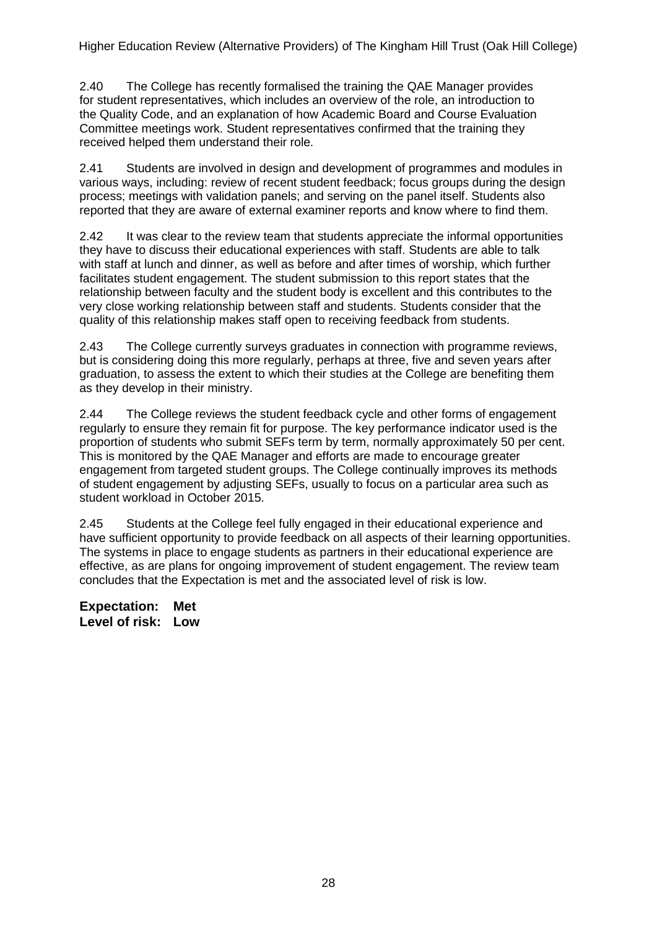2.40 The College has recently formalised the training the QAE Manager provides for student representatives, which includes an overview of the role, an introduction to the Quality Code, and an explanation of how Academic Board and Course Evaluation Committee meetings work. Student representatives confirmed that the training they received helped them understand their role.

2.41 Students are involved in design and development of programmes and modules in various ways, including: review of recent student feedback; focus groups during the design process; meetings with validation panels; and serving on the panel itself. Students also reported that they are aware of external examiner reports and know where to find them.

2.42 It was clear to the review team that students appreciate the informal opportunities they have to discuss their educational experiences with staff. Students are able to talk with staff at lunch and dinner, as well as before and after times of worship, which further facilitates student engagement. The student submission to this report states that the relationship between faculty and the student body is excellent and this contributes to the very close working relationship between staff and students. Students consider that the quality of this relationship makes staff open to receiving feedback from students.

2.43 The College currently surveys graduates in connection with programme reviews, but is considering doing this more regularly, perhaps at three, five and seven years after graduation, to assess the extent to which their studies at the College are benefiting them as they develop in their ministry.

2.44 The College reviews the student feedback cycle and other forms of engagement regularly to ensure they remain fit for purpose. The key performance indicator used is the proportion of students who submit SEFs term by term, normally approximately 50 per cent. This is monitored by the QAE Manager and efforts are made to encourage greater engagement from targeted student groups. The College continually improves its methods of student engagement by adjusting SEFs, usually to focus on a particular area such as student workload in October 2015.

2.45 Students at the College feel fully engaged in their educational experience and have sufficient opportunity to provide feedback on all aspects of their learning opportunities. The systems in place to engage students as partners in their educational experience are effective, as are plans for ongoing improvement of student engagement. The review team concludes that the Expectation is met and the associated level of risk is low.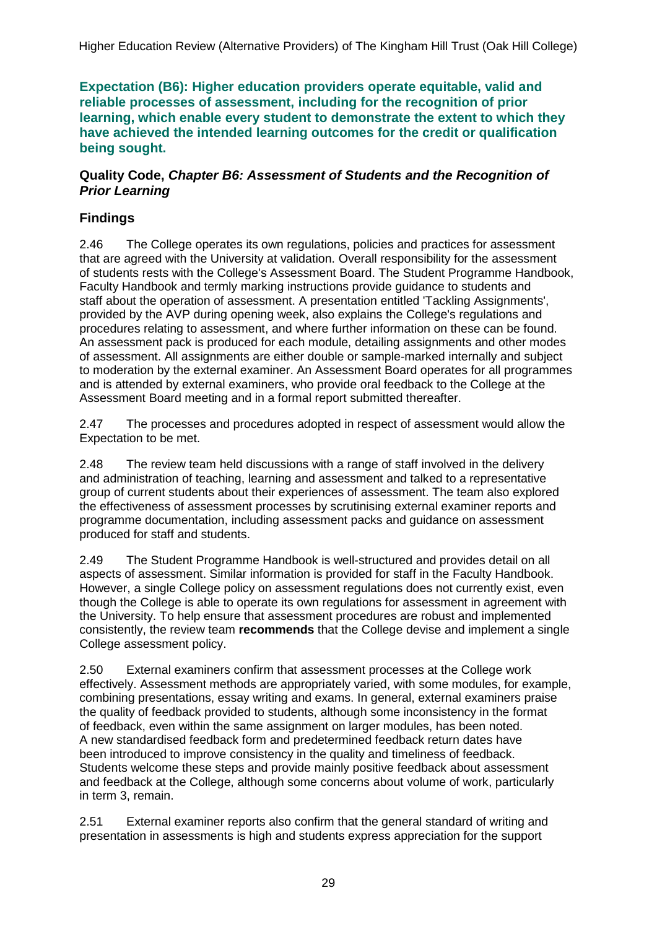**Expectation (B6): Higher education providers operate equitable, valid and reliable processes of assessment, including for the recognition of prior learning, which enable every student to demonstrate the extent to which they have achieved the intended learning outcomes for the credit or qualification being sought.**

#### **Quality Code,** *Chapter B6: Assessment of Students and the Recognition of Prior Learning*

### **Findings**

2.46 The College operates its own regulations, policies and practices for assessment that are agreed with the University at validation. Overall responsibility for the assessment of students rests with the College's Assessment Board. The Student Programme Handbook, Faculty Handbook and termly marking instructions provide guidance to students and staff about the operation of assessment. A presentation entitled 'Tackling Assignments', provided by the AVP during opening week, also explains the College's regulations and procedures relating to assessment, and where further information on these can be found. An assessment pack is produced for each module, detailing assignments and other modes of assessment. All assignments are either double or sample-marked internally and subject to moderation by the external examiner. An Assessment Board operates for all programmes and is attended by external examiners, who provide oral feedback to the College at the Assessment Board meeting and in a formal report submitted thereafter.

2.47 The processes and procedures adopted in respect of assessment would allow the Expectation to be met.

2.48 The review team held discussions with a range of staff involved in the delivery and administration of teaching, learning and assessment and talked to a representative group of current students about their experiences of assessment. The team also explored the effectiveness of assessment processes by scrutinising external examiner reports and programme documentation, including assessment packs and guidance on assessment produced for staff and students.

2.49 The Student Programme Handbook is well-structured and provides detail on all aspects of assessment. Similar information is provided for staff in the Faculty Handbook. However, a single College policy on assessment regulations does not currently exist, even though the College is able to operate its own regulations for assessment in agreement with the University. To help ensure that assessment procedures are robust and implemented consistently, the review team **recommends** that the College devise and implement a single College assessment policy.

2.50 External examiners confirm that assessment processes at the College work effectively. Assessment methods are appropriately varied, with some modules, for example, combining presentations, essay writing and exams. In general, external examiners praise the quality of feedback provided to students, although some inconsistency in the format of feedback, even within the same assignment on larger modules, has been noted. A new standardised feedback form and predetermined feedback return dates have been introduced to improve consistency in the quality and timeliness of feedback. Students welcome these steps and provide mainly positive feedback about assessment and feedback at the College, although some concerns about volume of work, particularly in term 3, remain.

2.51 External examiner reports also confirm that the general standard of writing and presentation in assessments is high and students express appreciation for the support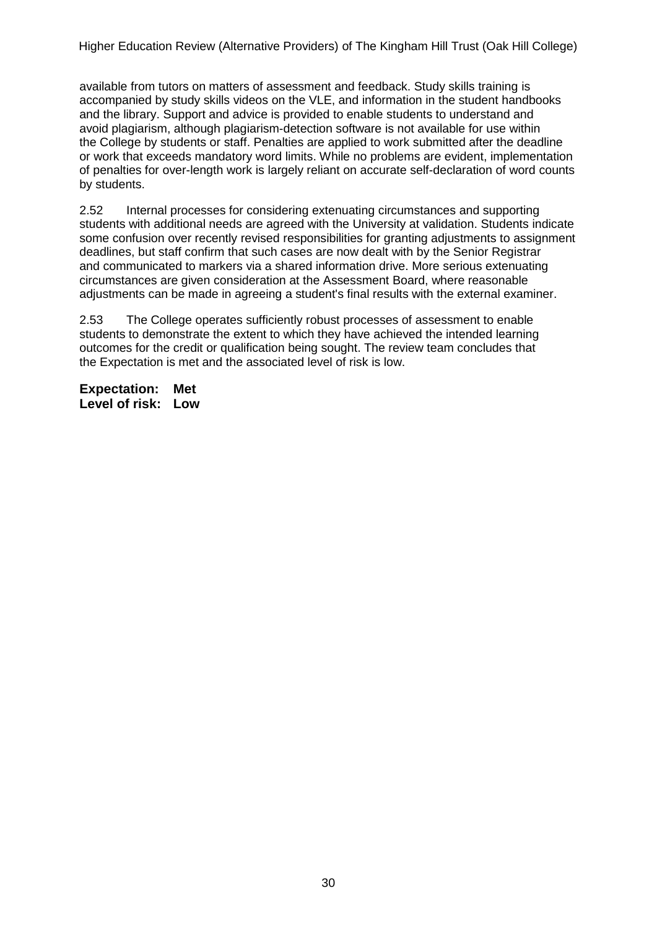available from tutors on matters of assessment and feedback. Study skills training is accompanied by study skills videos on the VLE, and information in the student handbooks and the library. Support and advice is provided to enable students to understand and avoid plagiarism, although plagiarism-detection software is not available for use within the College by students or staff. Penalties are applied to work submitted after the deadline or work that exceeds mandatory word limits. While no problems are evident, implementation of penalties for over-length work is largely reliant on accurate self-declaration of word counts by students.

2.52 Internal processes for considering extenuating circumstances and supporting students with additional needs are agreed with the University at validation. Students indicate some confusion over recently revised responsibilities for granting adjustments to assignment deadlines, but staff confirm that such cases are now dealt with by the Senior Registrar and communicated to markers via a shared information drive. More serious extenuating circumstances are given consideration at the Assessment Board, where reasonable adjustments can be made in agreeing a student's final results with the external examiner.

2.53 The College operates sufficiently robust processes of assessment to enable students to demonstrate the extent to which they have achieved the intended learning outcomes for the credit or qualification being sought. The review team concludes that the Expectation is met and the associated level of risk is low.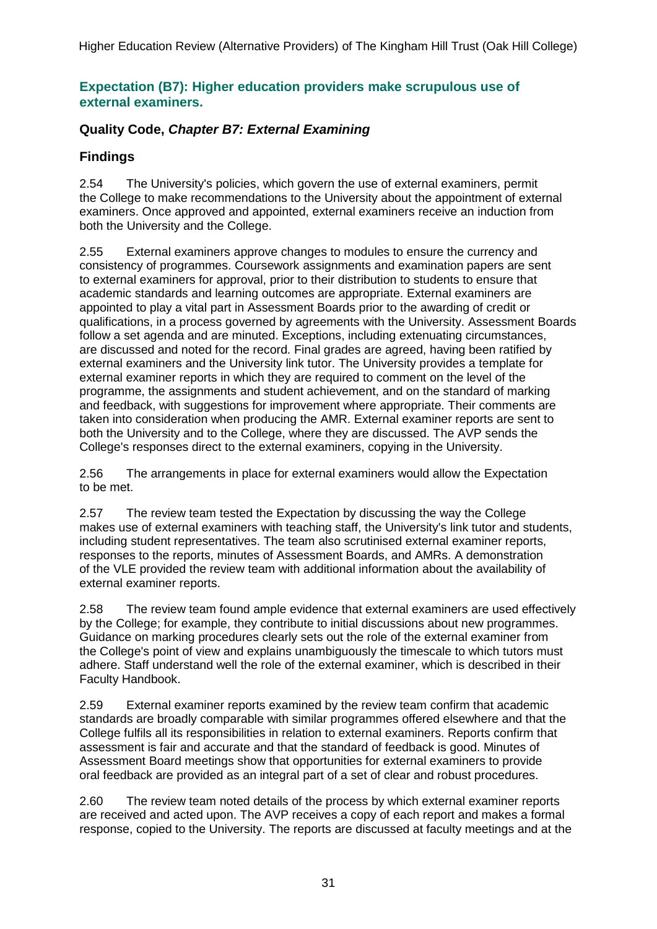### **Expectation (B7): Higher education providers make scrupulous use of external examiners.**

### **Quality Code,** *Chapter B7: External Examining*

## **Findings**

2.54 The University's policies, which govern the use of external examiners, permit the College to make recommendations to the University about the appointment of external examiners. Once approved and appointed, external examiners receive an induction from both the University and the College.

2.55 External examiners approve changes to modules to ensure the currency and consistency of programmes. Coursework assignments and examination papers are sent to external examiners for approval, prior to their distribution to students to ensure that academic standards and learning outcomes are appropriate. External examiners are appointed to play a vital part in Assessment Boards prior to the awarding of credit or qualifications, in a process governed by agreements with the University. Assessment Boards follow a set agenda and are minuted. Exceptions, including extenuating circumstances, are discussed and noted for the record. Final grades are agreed, having been ratified by external examiners and the University link tutor. The University provides a template for external examiner reports in which they are required to comment on the level of the programme, the assignments and student achievement, and on the standard of marking and feedback, with suggestions for improvement where appropriate. Their comments are taken into consideration when producing the AMR. External examiner reports are sent to both the University and to the College, where they are discussed. The AVP sends the College's responses direct to the external examiners, copying in the University.

2.56 The arrangements in place for external examiners would allow the Expectation to be met.

2.57 The review team tested the Expectation by discussing the way the College makes use of external examiners with teaching staff, the University's link tutor and students, including student representatives. The team also scrutinised external examiner reports, responses to the reports, minutes of Assessment Boards, and AMRs. A demonstration of the VLE provided the review team with additional information about the availability of external examiner reports.

2.58 The review team found ample evidence that external examiners are used effectively by the College; for example, they contribute to initial discussions about new programmes. Guidance on marking procedures clearly sets out the role of the external examiner from the College's point of view and explains unambiguously the timescale to which tutors must adhere. Staff understand well the role of the external examiner, which is described in their Faculty Handbook.

2.59 External examiner reports examined by the review team confirm that academic standards are broadly comparable with similar programmes offered elsewhere and that the College fulfils all its responsibilities in relation to external examiners. Reports confirm that assessment is fair and accurate and that the standard of feedback is good. Minutes of Assessment Board meetings show that opportunities for external examiners to provide oral feedback are provided as an integral part of a set of clear and robust procedures.

2.60 The review team noted details of the process by which external examiner reports are received and acted upon. The AVP receives a copy of each report and makes a formal response, copied to the University. The reports are discussed at faculty meetings and at the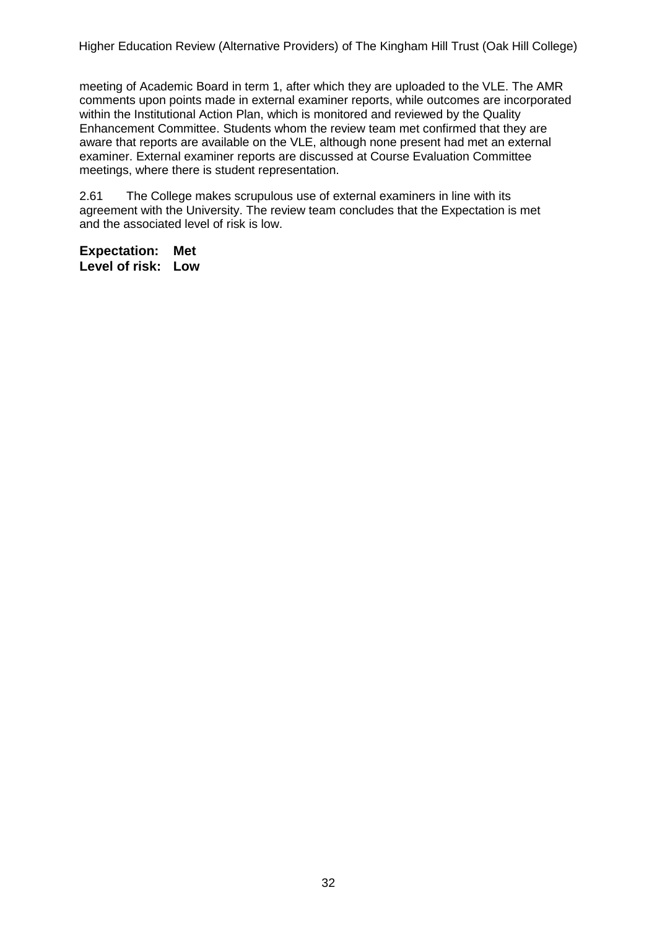meeting of Academic Board in term 1, after which they are uploaded to the VLE. The AMR comments upon points made in external examiner reports, while outcomes are incorporated within the Institutional Action Plan, which is monitored and reviewed by the Quality Enhancement Committee. Students whom the review team met confirmed that they are aware that reports are available on the VLE, although none present had met an external examiner. External examiner reports are discussed at Course Evaluation Committee meetings, where there is student representation.

2.61 The College makes scrupulous use of external examiners in line with its agreement with the University. The review team concludes that the Expectation is met and the associated level of risk is low.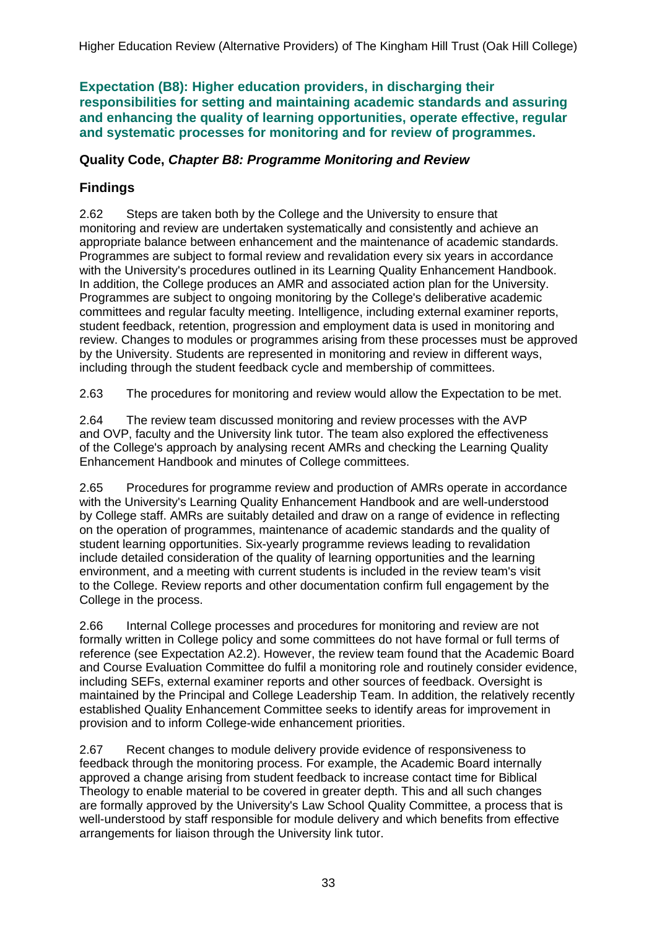**Expectation (B8): Higher education providers, in discharging their responsibilities for setting and maintaining academic standards and assuring and enhancing the quality of learning opportunities, operate effective, regular and systematic processes for monitoring and for review of programmes.**

### **Quality Code,** *Chapter B8: Programme Monitoring and Review*

## **Findings**

2.62 Steps are taken both by the College and the University to ensure that monitoring and review are undertaken systematically and consistently and achieve an appropriate balance between enhancement and the maintenance of academic standards. Programmes are subject to formal review and revalidation every six years in accordance with the University's procedures outlined in its Learning Quality Enhancement Handbook. In addition, the College produces an AMR and associated action plan for the University. Programmes are subject to ongoing monitoring by the College's deliberative academic committees and regular faculty meeting. Intelligence, including external examiner reports, student feedback, retention, progression and employment data is used in monitoring and review. Changes to modules or programmes arising from these processes must be approved by the University. Students are represented in monitoring and review in different ways, including through the student feedback cycle and membership of committees.

2.63 The procedures for monitoring and review would allow the Expectation to be met.

2.64 The review team discussed monitoring and review processes with the AVP and OVP, faculty and the University link tutor. The team also explored the effectiveness of the College's approach by analysing recent AMRs and checking the Learning Quality Enhancement Handbook and minutes of College committees.

2.65 Procedures for programme review and production of AMRs operate in accordance with the University's Learning Quality Enhancement Handbook and are well-understood by College staff. AMRs are suitably detailed and draw on a range of evidence in reflecting on the operation of programmes, maintenance of academic standards and the quality of student learning opportunities. Six-yearly programme reviews leading to revalidation include detailed consideration of the quality of learning opportunities and the learning environment, and a meeting with current students is included in the review team's visit to the College. Review reports and other documentation confirm full engagement by the College in the process.

2.66 Internal College processes and procedures for monitoring and review are not formally written in College policy and some committees do not have formal or full terms of reference (see Expectation A2.2). However, the review team found that the Academic Board and Course Evaluation Committee do fulfil a monitoring role and routinely consider evidence, including SEFs, external examiner reports and other sources of feedback. Oversight is maintained by the Principal and College Leadership Team. In addition, the relatively recently established Quality Enhancement Committee seeks to identify areas for improvement in provision and to inform College-wide enhancement priorities.

2.67 Recent changes to module delivery provide evidence of responsiveness to feedback through the monitoring process. For example, the Academic Board internally approved a change arising from student feedback to increase contact time for Biblical Theology to enable material to be covered in greater depth. This and all such changes are formally approved by the University's Law School Quality Committee, a process that is well-understood by staff responsible for module delivery and which benefits from effective arrangements for liaison through the University link tutor.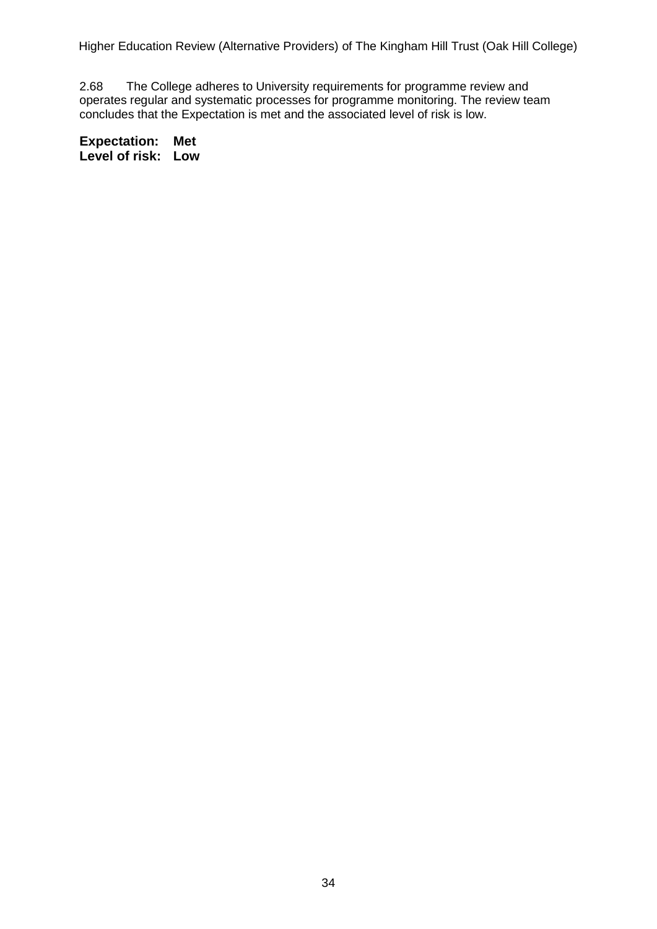2.68 The College adheres to University requirements for programme review and operates regular and systematic processes for programme monitoring. The review team concludes that the Expectation is met and the associated level of risk is low.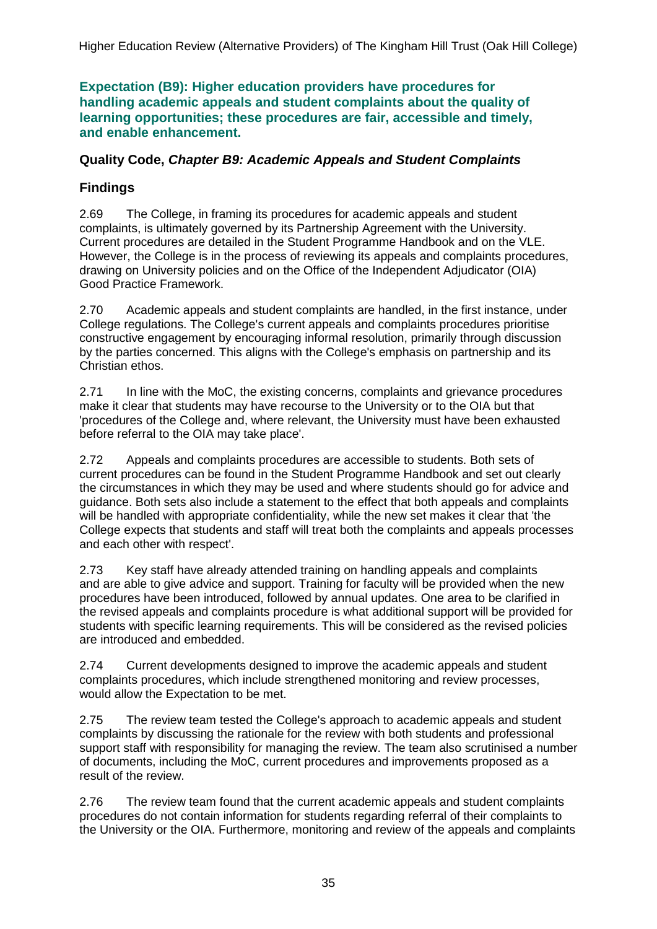**Expectation (B9): Higher education providers have procedures for handling academic appeals and student complaints about the quality of learning opportunities; these procedures are fair, accessible and timely, and enable enhancement.**

### **Quality Code,** *Chapter B9: Academic Appeals and Student Complaints*

### **Findings**

2.69 The College, in framing its procedures for academic appeals and student complaints, is ultimately governed by its Partnership Agreement with the University. Current procedures are detailed in the Student Programme Handbook and on the VLE. However, the College is in the process of reviewing its appeals and complaints procedures, drawing on University policies and on the Office of the Independent Adjudicator (OIA) Good Practice Framework.

2.70 Academic appeals and student complaints are handled, in the first instance, under College regulations. The College's current appeals and complaints procedures prioritise constructive engagement by encouraging informal resolution, primarily through discussion by the parties concerned. This aligns with the College's emphasis on partnership and its Christian ethos.

2.71 In line with the MoC, the existing concerns, complaints and grievance procedures make it clear that students may have recourse to the University or to the OIA but that 'procedures of the College and, where relevant, the University must have been exhausted before referral to the OIA may take place'.

2.72 Appeals and complaints procedures are accessible to students. Both sets of current procedures can be found in the Student Programme Handbook and set out clearly the circumstances in which they may be used and where students should go for advice and guidance. Both sets also include a statement to the effect that both appeals and complaints will be handled with appropriate confidentiality, while the new set makes it clear that 'the College expects that students and staff will treat both the complaints and appeals processes and each other with respect'.

2.73 Key staff have already attended training on handling appeals and complaints and are able to give advice and support. Training for faculty will be provided when the new procedures have been introduced, followed by annual updates. One area to be clarified in the revised appeals and complaints procedure is what additional support will be provided for students with specific learning requirements. This will be considered as the revised policies are introduced and embedded.

2.74 Current developments designed to improve the academic appeals and student complaints procedures, which include strengthened monitoring and review processes, would allow the Expectation to be met.

2.75 The review team tested the College's approach to academic appeals and student complaints by discussing the rationale for the review with both students and professional support staff with responsibility for managing the review. The team also scrutinised a number of documents, including the MoC, current procedures and improvements proposed as a result of the review.

2.76 The review team found that the current academic appeals and student complaints procedures do not contain information for students regarding referral of their complaints to the University or the OIA. Furthermore, monitoring and review of the appeals and complaints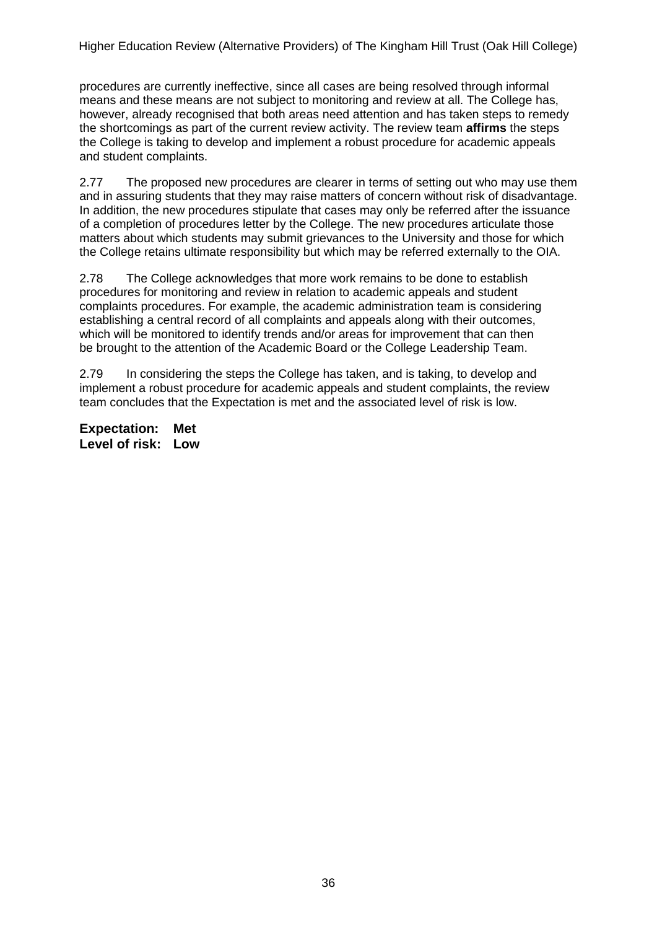procedures are currently ineffective, since all cases are being resolved through informal means and these means are not subject to monitoring and review at all. The College has, however, already recognised that both areas need attention and has taken steps to remedy the shortcomings as part of the current review activity. The review team **affirms** the steps the College is taking to develop and implement a robust procedure for academic appeals and student complaints.

2.77 The proposed new procedures are clearer in terms of setting out who may use them and in assuring students that they may raise matters of concern without risk of disadvantage. In addition, the new procedures stipulate that cases may only be referred after the issuance of a completion of procedures letter by the College. The new procedures articulate those matters about which students may submit grievances to the University and those for which the College retains ultimate responsibility but which may be referred externally to the OIA.

2.78 The College acknowledges that more work remains to be done to establish procedures for monitoring and review in relation to academic appeals and student complaints procedures. For example, the academic administration team is considering establishing a central record of all complaints and appeals along with their outcomes, which will be monitored to identify trends and/or areas for improvement that can then be brought to the attention of the Academic Board or the College Leadership Team.

2.79 In considering the steps the College has taken, and is taking, to develop and implement a robust procedure for academic appeals and student complaints, the review team concludes that the Expectation is met and the associated level of risk is low.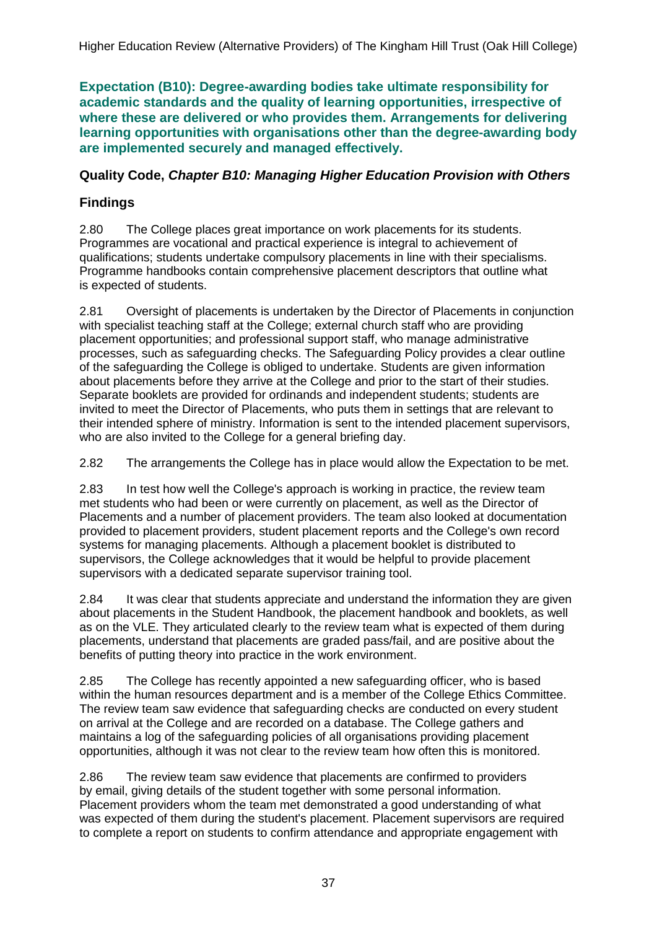**Expectation (B10): Degree-awarding bodies take ultimate responsibility for academic standards and the quality of learning opportunities, irrespective of where these are delivered or who provides them. Arrangements for delivering learning opportunities with organisations other than the degree-awarding body are implemented securely and managed effectively.**

### **Quality Code,** *Chapter B10: Managing Higher Education Provision with Others*

## **Findings**

2.80 The College places great importance on work placements for its students. Programmes are vocational and practical experience is integral to achievement of qualifications; students undertake compulsory placements in line with their specialisms. Programme handbooks contain comprehensive placement descriptors that outline what is expected of students.

2.81 Oversight of placements is undertaken by the Director of Placements in conjunction with specialist teaching staff at the College; external church staff who are providing placement opportunities; and professional support staff, who manage administrative processes, such as safeguarding checks. The Safeguarding Policy provides a clear outline of the safeguarding the College is obliged to undertake. Students are given information about placements before they arrive at the College and prior to the start of their studies. Separate booklets are provided for ordinands and independent students; students are invited to meet the Director of Placements, who puts them in settings that are relevant to their intended sphere of ministry. Information is sent to the intended placement supervisors, who are also invited to the College for a general briefing day.

2.82 The arrangements the College has in place would allow the Expectation to be met.

2.83 In test how well the College's approach is working in practice, the review team met students who had been or were currently on placement, as well as the Director of Placements and a number of placement providers. The team also looked at documentation provided to placement providers, student placement reports and the College's own record systems for managing placements. Although a placement booklet is distributed to supervisors, the College acknowledges that it would be helpful to provide placement supervisors with a dedicated separate supervisor training tool.

2.84 It was clear that students appreciate and understand the information they are given about placements in the Student Handbook, the placement handbook and booklets, as well as on the VLE. They articulated clearly to the review team what is expected of them during placements, understand that placements are graded pass/fail, and are positive about the benefits of putting theory into practice in the work environment.

2.85 The College has recently appointed a new safeguarding officer, who is based within the human resources department and is a member of the College Ethics Committee. The review team saw evidence that safeguarding checks are conducted on every student on arrival at the College and are recorded on a database. The College gathers and maintains a log of the safeguarding policies of all organisations providing placement opportunities, although it was not clear to the review team how often this is monitored.

2.86 The review team saw evidence that placements are confirmed to providers by email, giving details of the student together with some personal information. Placement providers whom the team met demonstrated a good understanding of what was expected of them during the student's placement. Placement supervisors are required to complete a report on students to confirm attendance and appropriate engagement with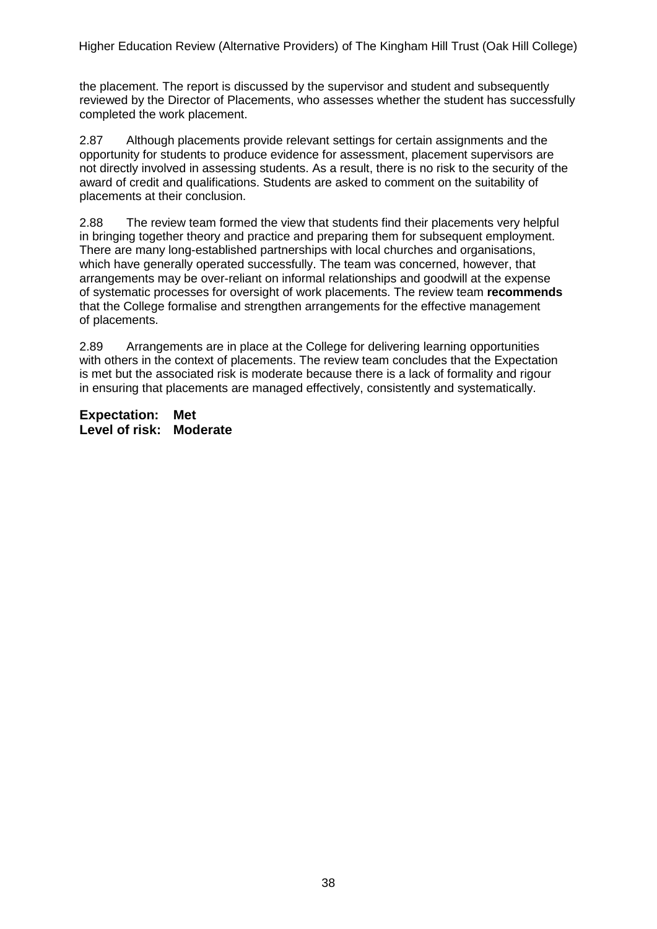the placement. The report is discussed by the supervisor and student and subsequently reviewed by the Director of Placements, who assesses whether the student has successfully completed the work placement.

2.87 Although placements provide relevant settings for certain assignments and the opportunity for students to produce evidence for assessment, placement supervisors are not directly involved in assessing students. As a result, there is no risk to the security of the award of credit and qualifications. Students are asked to comment on the suitability of placements at their conclusion.

2.88 The review team formed the view that students find their placements very helpful in bringing together theory and practice and preparing them for subsequent employment. There are many long-established partnerships with local churches and organisations, which have generally operated successfully. The team was concerned, however, that arrangements may be over-reliant on informal relationships and goodwill at the expense of systematic processes for oversight of work placements. The review team **recommends** that the College formalise and strengthen arrangements for the effective management of placements.

2.89 Arrangements are in place at the College for delivering learning opportunities with others in the context of placements. The review team concludes that the Expectation is met but the associated risk is moderate because there is a lack of formality and rigour in ensuring that placements are managed effectively, consistently and systematically.

**Expectation: Met Level of risk: Moderate**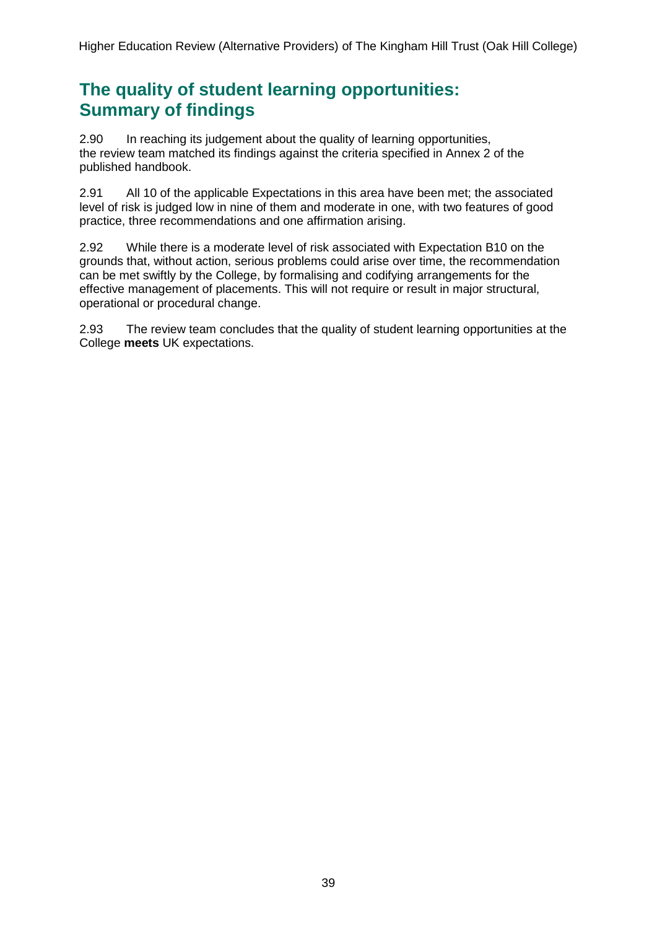## **The quality of student learning opportunities: Summary of findings**

2.90 In reaching its judgement about the quality of learning opportunities, the review team matched its findings against the criteria specified in Annex 2 of the published handbook.

2.91 All 10 of the applicable Expectations in this area have been met; the associated level of risk is judged low in nine of them and moderate in one, with two features of good practice, three recommendations and one affirmation arising.

2.92 While there is a moderate level of risk associated with Expectation B10 on the grounds that, without action, serious problems could arise over time, the recommendation can be met swiftly by the College, by formalising and codifying arrangements for the effective management of placements. This will not require or result in major structural, operational or procedural change.

2.93 The review team concludes that the quality of student learning opportunities at the College **meets** UK expectations.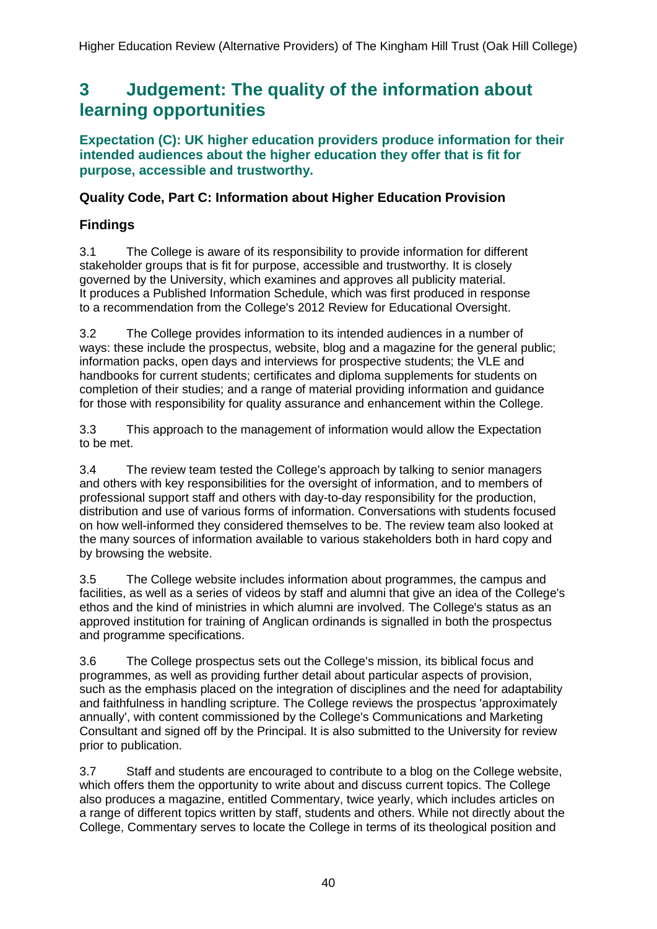## <span id="page-40-0"></span>**3 Judgement: The quality of the information about learning opportunities**

**Expectation (C): UK higher education providers produce information for their intended audiences about the higher education they offer that is fit for purpose, accessible and trustworthy.**

### **Quality Code, Part C: Information about Higher Education Provision**

## **Findings**

3.1 The College is aware of its responsibility to provide information for different stakeholder groups that is fit for purpose, accessible and trustworthy. It is closely governed by the University, which examines and approves all publicity material. It produces a Published Information Schedule, which was first produced in response to a recommendation from the College's 2012 Review for Educational Oversight.

3.2 The College provides information to its intended audiences in a number of ways: these include the prospectus, website, blog and a magazine for the general public; information packs, open days and interviews for prospective students; the VLE and handbooks for current students; certificates and diploma supplements for students on completion of their studies; and a range of material providing information and guidance for those with responsibility for quality assurance and enhancement within the College.

3.3 This approach to the management of information would allow the Expectation to be met.

3.4 The review team tested the College's approach by talking to senior managers and others with key responsibilities for the oversight of information, and to members of professional support staff and others with day-to-day responsibility for the production, distribution and use of various forms of information. Conversations with students focused on how well-informed they considered themselves to be. The review team also looked at the many sources of information available to various stakeholders both in hard copy and by browsing the website.

3.5 The College website includes information about programmes, the campus and facilities, as well as a series of videos by staff and alumni that give an idea of the College's ethos and the kind of ministries in which alumni are involved. The College's status as an approved institution for training of Anglican ordinands is signalled in both the prospectus and programme specifications.

3.6 The College prospectus sets out the College's mission, its biblical focus and programmes, as well as providing further detail about particular aspects of provision, such as the emphasis placed on the integration of disciplines and the need for adaptability and faithfulness in handling scripture. The College reviews the prospectus 'approximately annually', with content commissioned by the College's Communications and Marketing Consultant and signed off by the Principal. It is also submitted to the University for review prior to publication.

3.7 Staff and students are encouraged to contribute to a blog on the College website, which offers them the opportunity to write about and discuss current topics. The College also produces a magazine, entitled Commentary, twice yearly, which includes articles on a range of different topics written by staff, students and others. While not directly about the College, Commentary serves to locate the College in terms of its theological position and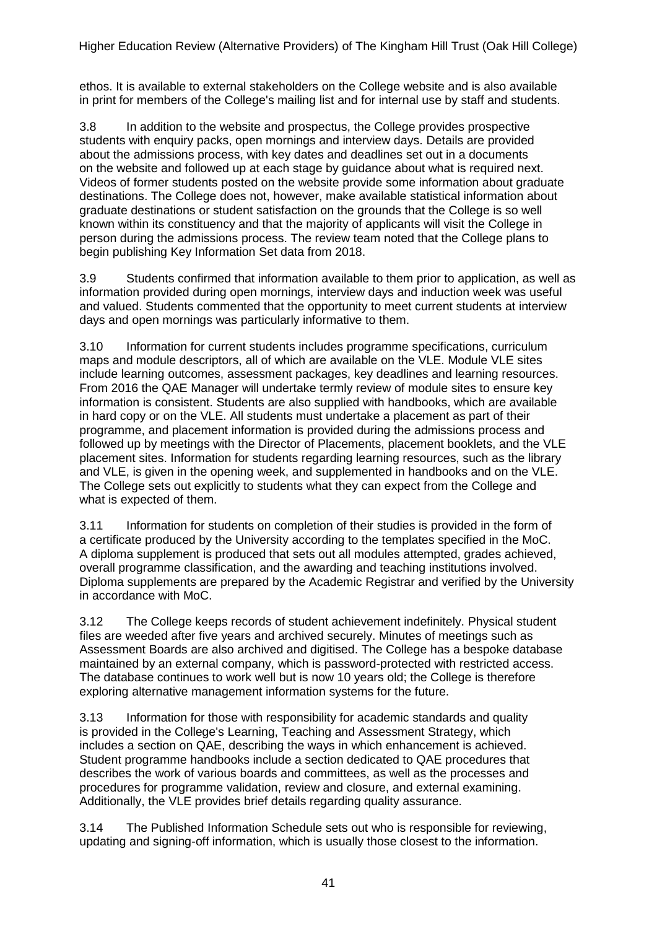ethos. It is available to external stakeholders on the College website and is also available in print for members of the College's mailing list and for internal use by staff and students.

3.8 In addition to the website and prospectus, the College provides prospective students with enquiry packs, open mornings and interview days. Details are provided about the admissions process, with key dates and deadlines set out in a documents on the website and followed up at each stage by guidance about what is required next. Videos of former students posted on the website provide some information about graduate destinations. The College does not, however, make available statistical information about graduate destinations or student satisfaction on the grounds that the College is so well known within its constituency and that the majority of applicants will visit the College in person during the admissions process. The review team noted that the College plans to begin publishing Key Information Set data from 2018.

3.9 Students confirmed that information available to them prior to application, as well as information provided during open mornings, interview days and induction week was useful and valued. Students commented that the opportunity to meet current students at interview days and open mornings was particularly informative to them.

3.10 Information for current students includes programme specifications, curriculum maps and module descriptors, all of which are available on the VLE. Module VLE sites include learning outcomes, assessment packages, key deadlines and learning resources. From 2016 the QAE Manager will undertake termly review of module sites to ensure key information is consistent. Students are also supplied with handbooks, which are available in hard copy or on the VLE. All students must undertake a placement as part of their programme, and placement information is provided during the admissions process and followed up by meetings with the Director of Placements, placement booklets, and the VLE placement sites. Information for students regarding learning resources, such as the library and VLE, is given in the opening week, and supplemented in handbooks and on the VLE. The College sets out explicitly to students what they can expect from the College and what is expected of them.

3.11 Information for students on completion of their studies is provided in the form of a certificate produced by the University according to the templates specified in the MoC. A diploma supplement is produced that sets out all modules attempted, grades achieved, overall programme classification, and the awarding and teaching institutions involved. Diploma supplements are prepared by the Academic Registrar and verified by the University in accordance with MoC.

3.12 The College keeps records of student achievement indefinitely. Physical student files are weeded after five years and archived securely. Minutes of meetings such as Assessment Boards are also archived and digitised. The College has a bespoke database maintained by an external company, which is password-protected with restricted access. The database continues to work well but is now 10 years old; the College is therefore exploring alternative management information systems for the future.

3.13 Information for those with responsibility for academic standards and quality is provided in the College's Learning, Teaching and Assessment Strategy, which includes a section on QAE, describing the ways in which enhancement is achieved. Student programme handbooks include a section dedicated to QAE procedures that describes the work of various boards and committees, as well as the processes and procedures for programme validation, review and closure, and external examining. Additionally, the VLE provides brief details regarding quality assurance.

3.14 The Published Information Schedule sets out who is responsible for reviewing, updating and signing-off information, which is usually those closest to the information.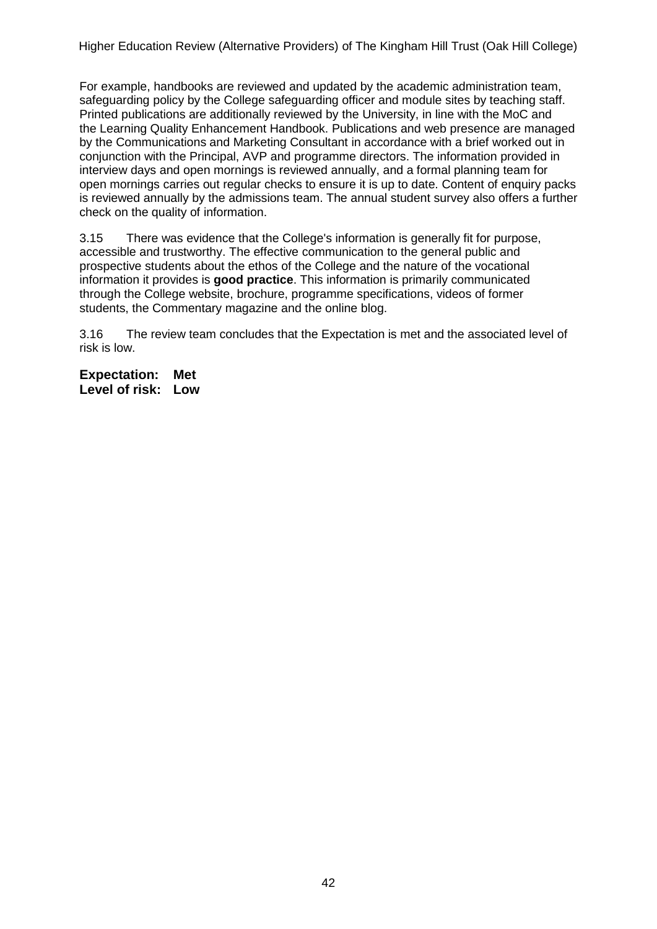For example, handbooks are reviewed and updated by the academic administration team, safeguarding policy by the College safeguarding officer and module sites by teaching staff. Printed publications are additionally reviewed by the University, in line with the MoC and the Learning Quality Enhancement Handbook. Publications and web presence are managed by the Communications and Marketing Consultant in accordance with a brief worked out in conjunction with the Principal, AVP and programme directors. The information provided in interview days and open mornings is reviewed annually, and a formal planning team for open mornings carries out regular checks to ensure it is up to date. Content of enquiry packs is reviewed annually by the admissions team. The annual student survey also offers a further check on the quality of information.

3.15 There was evidence that the College's information is generally fit for purpose, accessible and trustworthy. The effective communication to the general public and prospective students about the ethos of the College and the nature of the vocational information it provides is **good practice**. This information is primarily communicated through the College website, brochure, programme specifications, videos of former students, the Commentary magazine and the online blog.

3.16 The review team concludes that the Expectation is met and the associated level of risk is low.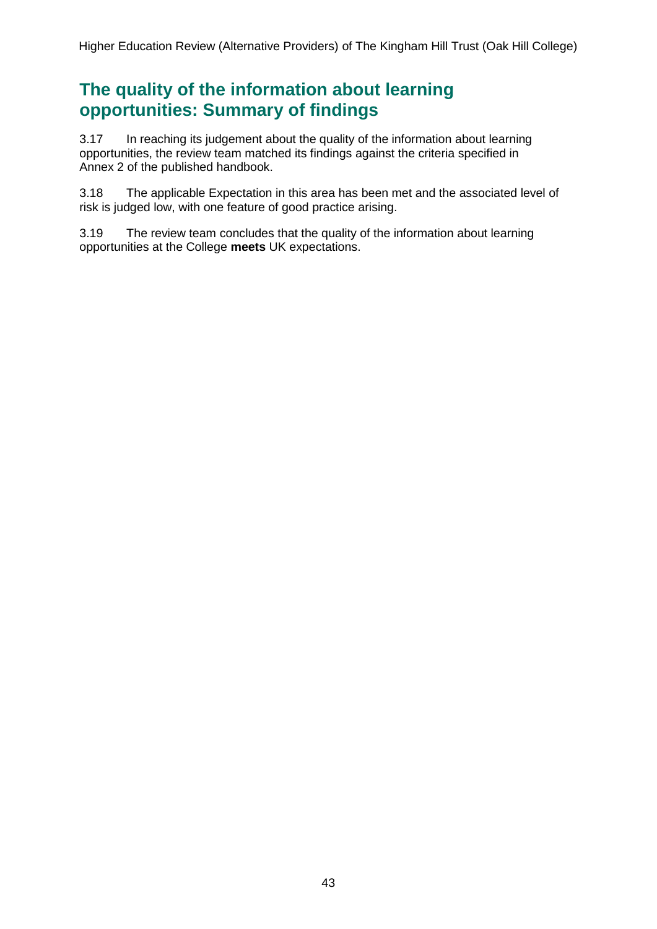## **The quality of the information about learning opportunities: Summary of findings**

3.17 In reaching its judgement about the quality of the information about learning opportunities, the review team matched its findings against the criteria specified in Annex 2 of the published handbook.

3.18 The applicable Expectation in this area has been met and the associated level of risk is judged low, with one feature of good practice arising.

3.19 The review team concludes that the quality of the information about learning opportunities at the College **meets** UK expectations.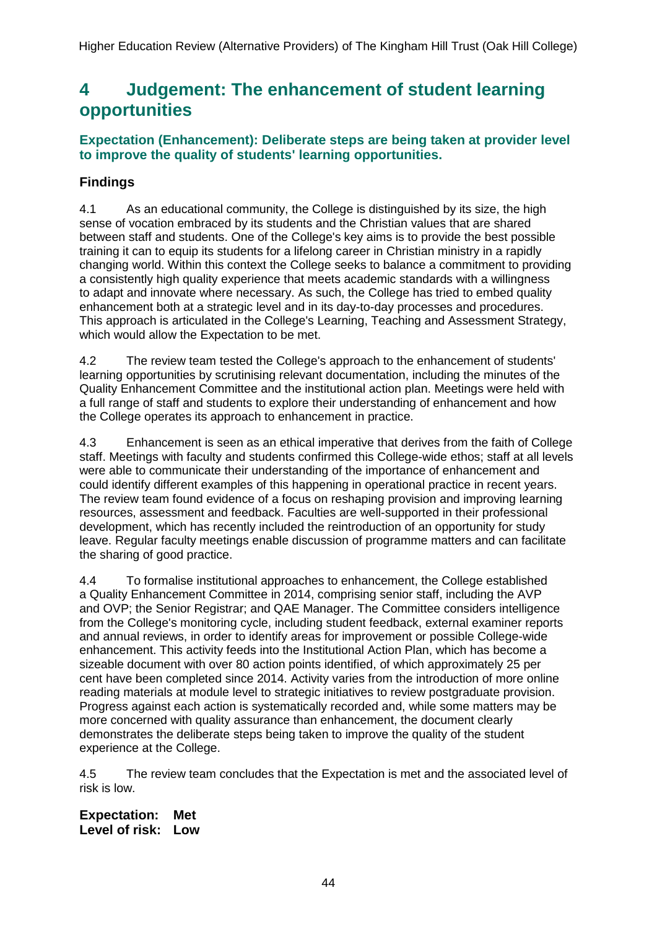## <span id="page-44-0"></span>**4 Judgement: The enhancement of student learning opportunities**

### **Expectation (Enhancement): Deliberate steps are being taken at provider level to improve the quality of students' learning opportunities.**

## **Findings**

4.1 As an educational community, the College is distinguished by its size, the high sense of vocation embraced by its students and the Christian values that are shared between staff and students. One of the College's key aims is to provide the best possible training it can to equip its students for a lifelong career in Christian ministry in a rapidly changing world. Within this context the College seeks to balance a commitment to providing a consistently high quality experience that meets academic standards with a willingness to adapt and innovate where necessary. As such, the College has tried to embed quality enhancement both at a strategic level and in its day-to-day processes and procedures. This approach is articulated in the College's Learning, Teaching and Assessment Strategy, which would allow the Expectation to be met.

4.2 The review team tested the College's approach to the enhancement of students' learning opportunities by scrutinising relevant documentation, including the minutes of the Quality Enhancement Committee and the institutional action plan. Meetings were held with a full range of staff and students to explore their understanding of enhancement and how the College operates its approach to enhancement in practice.

4.3 Enhancement is seen as an ethical imperative that derives from the faith of College staff. Meetings with faculty and students confirmed this College-wide ethos; staff at all levels were able to communicate their understanding of the importance of enhancement and could identify different examples of this happening in operational practice in recent years. The review team found evidence of a focus on reshaping provision and improving learning resources, assessment and feedback. Faculties are well-supported in their professional development, which has recently included the reintroduction of an opportunity for study leave. Regular faculty meetings enable discussion of programme matters and can facilitate the sharing of good practice.

4.4 To formalise institutional approaches to enhancement, the College established a Quality Enhancement Committee in 2014, comprising senior staff, including the AVP and OVP; the Senior Registrar; and QAE Manager. The Committee considers intelligence from the College's monitoring cycle, including student feedback, external examiner reports and annual reviews, in order to identify areas for improvement or possible College-wide enhancement. This activity feeds into the Institutional Action Plan, which has become a sizeable document with over 80 action points identified, of which approximately 25 per cent have been completed since 2014. Activity varies from the introduction of more online reading materials at module level to strategic initiatives to review postgraduate provision. Progress against each action is systematically recorded and, while some matters may be more concerned with quality assurance than enhancement, the document clearly demonstrates the deliberate steps being taken to improve the quality of the student experience at the College.

4.5 The review team concludes that the Expectation is met and the associated level of risk is low.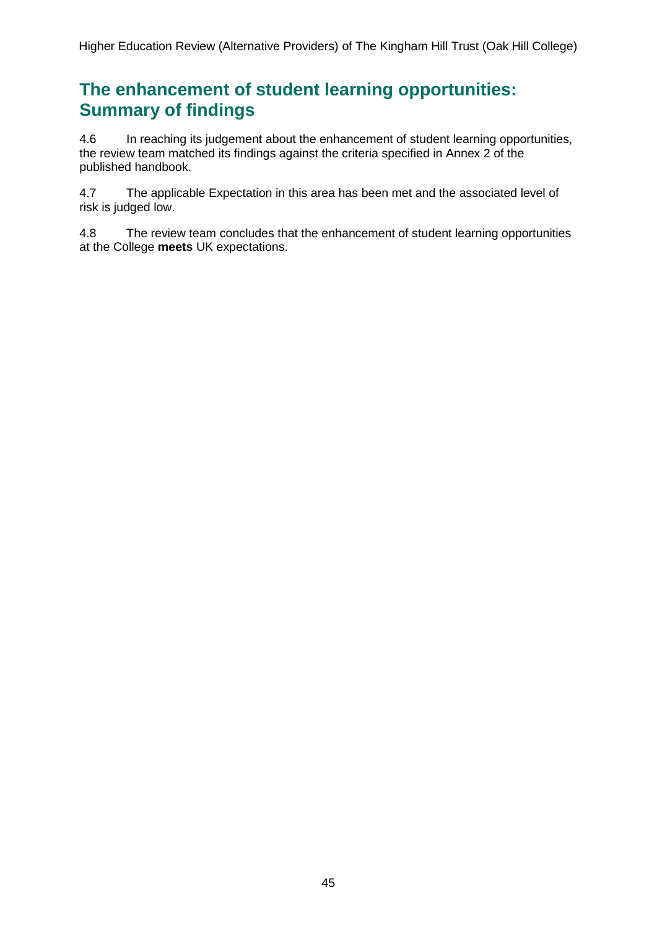## **The enhancement of student learning opportunities: Summary of findings**

4.6 In reaching its judgement about the enhancement of student learning opportunities, the review team matched its findings against the criteria specified in Annex 2 of the published handbook.

4.7 The applicable Expectation in this area has been met and the associated level of risk is judged low.

4.8 The review team concludes that the enhancement of student learning opportunities at the College **meets** UK expectations.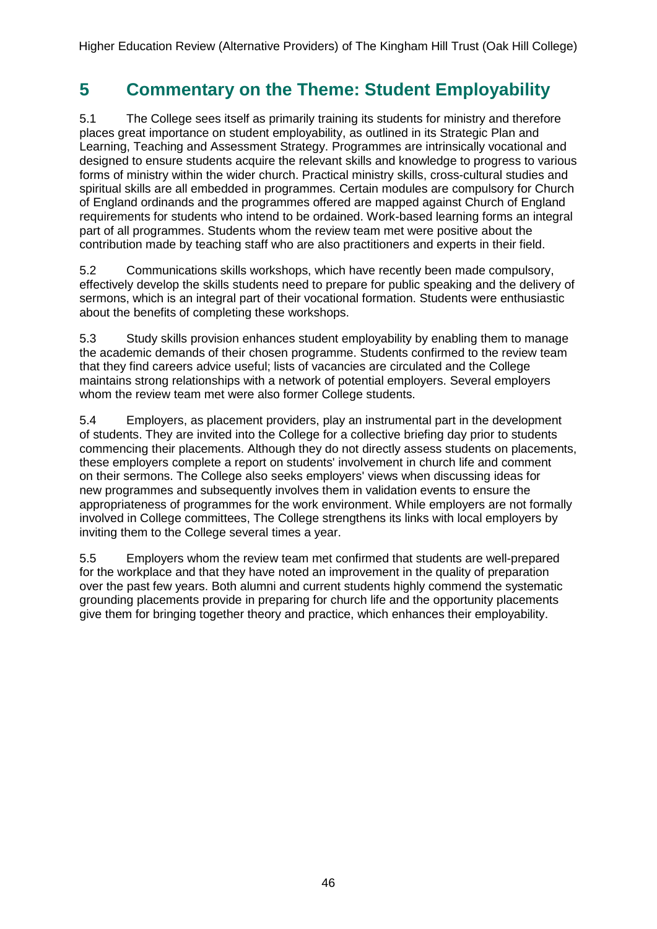## <span id="page-46-0"></span>**5 Commentary on the Theme: Student Employability**

5.1 The College sees itself as primarily training its students for ministry and therefore places great importance on student employability, as outlined in its Strategic Plan and Learning, Teaching and Assessment Strategy. Programmes are intrinsically vocational and designed to ensure students acquire the relevant skills and knowledge to progress to various forms of ministry within the wider church. Practical ministry skills, cross-cultural studies and spiritual skills are all embedded in programmes. Certain modules are compulsory for Church of England ordinands and the programmes offered are mapped against Church of England requirements for students who intend to be ordained. Work-based learning forms an integral part of all programmes. Students whom the review team met were positive about the contribution made by teaching staff who are also practitioners and experts in their field.

5.2 Communications skills workshops, which have recently been made compulsory, effectively develop the skills students need to prepare for public speaking and the delivery of sermons, which is an integral part of their vocational formation. Students were enthusiastic about the benefits of completing these workshops.

5.3 Study skills provision enhances student employability by enabling them to manage the academic demands of their chosen programme. Students confirmed to the review team that they find careers advice useful; lists of vacancies are circulated and the College maintains strong relationships with a network of potential employers. Several employers whom the review team met were also former College students.

5.4 Employers, as placement providers, play an instrumental part in the development of students. They are invited into the College for a collective briefing day prior to students commencing their placements. Although they do not directly assess students on placements, these employers complete a report on students' involvement in church life and comment on their sermons. The College also seeks employers' views when discussing ideas for new programmes and subsequently involves them in validation events to ensure the appropriateness of programmes for the work environment. While employers are not formally involved in College committees, The College strengthens its links with local employers by inviting them to the College several times a year.

<span id="page-46-1"></span>5.5 Employers whom the review team met confirmed that students are well-prepared for the workplace and that they have noted an improvement in the quality of preparation over the past few years. Both alumni and current students highly commend the systematic grounding placements provide in preparing for church life and the opportunity placements give them for bringing together theory and practice, which enhances their employability.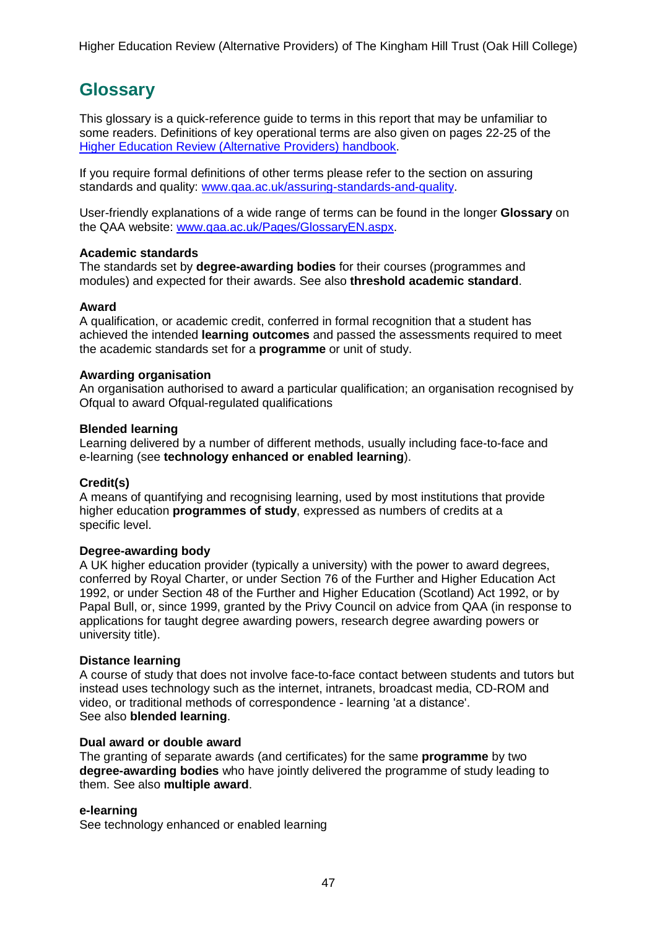## <span id="page-47-0"></span>**Glossary**

This glossary is a quick-reference guide to terms in this report that may be unfamiliar to some readers. Definitions of key operational terms are also given on pages 22-25 of the Higher Education Review [\(Alternative](http://www.qaa.ac.uk/publications/information-and-guidance/publication?PubID=2933) Providers) handbook.

If you require formal definitions of other terms please refer to the section on assuring standards and quality: [www.qaa.ac.uk/assuring-standards-and-quality.](http://www.qaa.ac.uk/assuring-standards-and-quality)

User-friendly explanations of a wide range of terms can be found in the longer **Glossary** on the QAA website: [www.qaa.ac.uk/Pages/GlossaryEN.aspx.](http://www.qaa.ac.uk/Pages/GlossaryEN.aspx)

#### **Academic standards**

The standards set by **degree-awarding bodies** for their courses (programmes and modules) and expected for their awards. See also **threshold academic standard**.

#### **Award**

A qualification, or academic credit, conferred in formal recognition that a student has achieved the intended **learning outcomes** and passed the assessments required to meet the academic standards set for a **programme** or unit of study.

#### **Awarding organisation**

An organisation authorised to award a particular qualification; an organisation recognised by Ofqual to award Ofqual-regulated qualifications

#### **Blended learning**

Learning delivered by a number of different methods, usually including face-to-face and e-learning (see **[technology](http://www.qaa.ac.uk/AboutUs/glossary/Pages/glossary-t.aspx#t1) enhanced or enabled learning**).

#### **Credit(s)**

A means of quantifying and recognising learning, used by most institutions that provide higher education **programmes of study**, expressed as numbers of credits at a specific level.

#### **Degree-awarding body**

A UK higher [education](http://newlive.qaa.ac.uk/AboutUs/glossary/Pages/glossary-h.aspx#h2.1) provider (typically a [university\)](http://newlive.qaa.ac.uk/AboutUs/glossary/Pages/glossary-u-z.aspx#u4) with the power to award degrees, conferred by Royal Charter, or under Section 76 of the Further and Higher Education Act 1992, or under Section 48 of the Further and Higher Education (Scotland) Act 1992, or by Papal Bull, or, since 1999, granted by the Privy Council on advice from QAA (in response to applications for taught degree [awarding](http://newlive.qaa.ac.uk/AboutUs/DAP/Pages/default.aspx) powers, research degree awarding powers or [university](http://newlive.qaa.ac.uk/AboutUs/DAP/Pages/default.aspx) title).

#### **Distance learning**

A course of study that does not involve face-to-face contact between students and tutors but instead uses technology such as the internet, intranets, broadcast media, CD-ROM and video, or traditional methods of correspondence - learning 'at a distance'. See also **blended learning**.

#### **Dual award or double award**

The granting of separate awards (and certificates) for the same **programme** by two **degree-awarding bodies** who have jointly delivered the programme of study leading to them. See also **multiple award**.

#### **e-learning**

See technology enhanced or enabled learning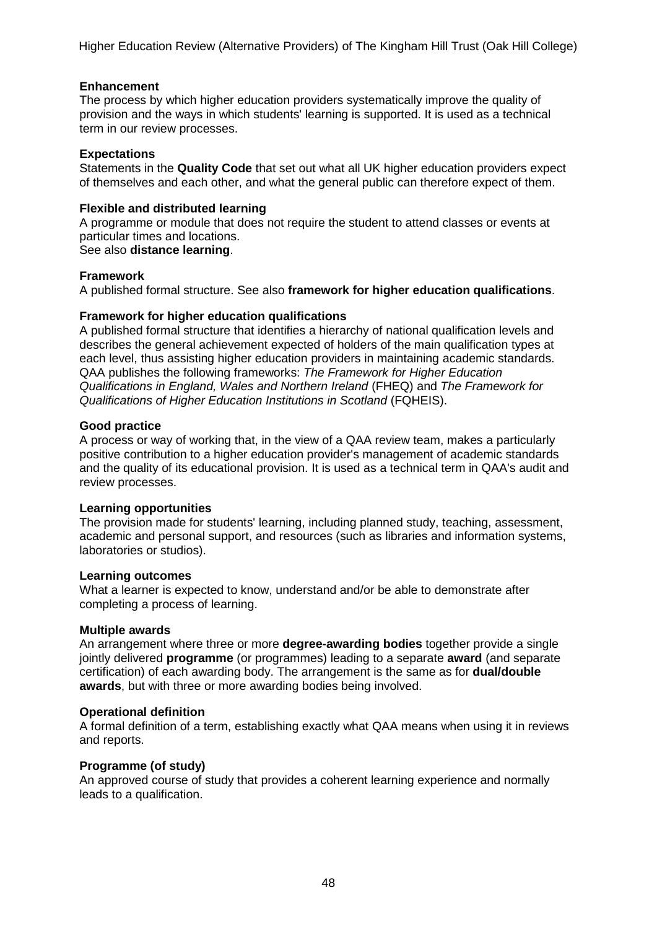#### **Enhancement**

The process by which higher [education](http://www.qaa.ac.uk/AboutUs/glossary/Pages/glossary-h.aspx#h2.1) providers systematically improve the quality of provision and the ways in which students' learning is supported. It is used as a technical term in our review processes.

#### **Expectations**

Statements in the **Quality Code** that set out what all UK higher [education](http://newlive.qaa.ac.uk/AboutUs/glossary/Pages/glossary-h.aspx#h2.1) providers expect of themselves and each other, and what the general public can therefore expect of them.

#### **Flexible and distributed learning**

A [programme](http://newlive.qaa.ac.uk/AboutUs/glossary/Pages/glossary-p.aspx#p12) or [module](http://newlive.qaa.ac.uk/AboutUs/glossary/Pages/glossary-m-o.aspx#m6) that does not require the student to attend classes or events at particular times and locations.

#### See also **distance learning**.

#### **Framework**

A published formal structure. See also **framework for higher education qualifications**.

#### **Framework for higher education qualifications**

A published formal structure that identifies a hierarchy of national qualification levels and describes the general achievement expected of holders of the main qualification types at each level, thus assisting higher education providers in maintaining academic standards. QAA publishes the following frameworks: *The Framework for Higher Education Qualifications in England, Wales and Northern Ireland* (FHEQ) and *The Framework for Qualifications of Higher Education Institutions in Scotland* (FQHEIS).

#### **Good practice**

A process or way of working that, in the view of a QAA review team, makes a particularly positive contribution to a higher education provider's management of academic standards and the quality of its educational provision. It is used as a technical term in QAA's audit and review processes.

#### **Learning opportunities**

The provision made for students' learning, including planned study, teaching, assessment, academic and personal support, and resources (such as libraries and information systems, laboratories or studios).

#### **Learning outcomes**

What a learner is expected to know, understand and/or be able to demonstrate after completing a process of learning.

#### **Multiple awards**

An arrangement where three or more **degree-awarding bodies** together provide a single jointly delivered **programme** (or programmes) leading to a separate **award** (and separate certification) of each awarding body. The arrangement is the same as for **dual/double awards**, but with three or more awarding bodies being involved.

#### **Operational definition**

A formal definition of a term, establishing exactly what QAA means when using it in reviews and reports.

#### **Programme (of study)**

An approved course of study that provides a coherent learning experience and normally leads to a qualification.